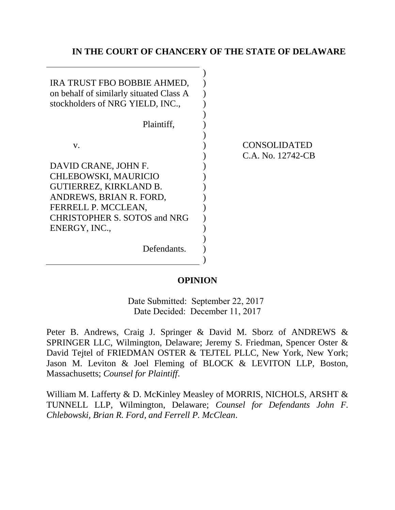## **IN THE COURT OF CHANCERY OF THE STATE OF DELAWARE**

| IRA TRUST FBO BOBBIE AHMED,<br>on behalf of similarly situated Class A<br>stockholders of NRG YIELD, INC., |                   |
|------------------------------------------------------------------------------------------------------------|-------------------|
| Plaintiff,                                                                                                 |                   |
|                                                                                                            |                   |
| V.                                                                                                         | CONSOLIDATED      |
|                                                                                                            | C.A. No. 12742-CB |
| DAVID CRANE, JOHN F.                                                                                       |                   |
| CHLEBOWSKI, MAURICIO                                                                                       |                   |
| <b>GUTIERREZ, KIRKLAND B.</b>                                                                              |                   |
| ANDREWS, BRIAN R. FORD,                                                                                    |                   |
| FERRELL P. MCCLEAN,                                                                                        |                   |
| <b>CHRISTOPHER S. SOTOS and NRG</b>                                                                        |                   |
| ENERGY, INC.,                                                                                              |                   |
|                                                                                                            |                   |
| Defendants.                                                                                                |                   |
|                                                                                                            |                   |

## **OPINION**

Date Submitted: September 22, 2017 Date Decided: December 11, 2017

Peter B. Andrews, Craig J. Springer & David M. Sborz of ANDREWS & SPRINGER LLC, Wilmington, Delaware; Jeremy S. Friedman, Spencer Oster & David Tejtel of FRIEDMAN OSTER & TEJTEL PLLC, New York, New York; Jason M. Leviton & Joel Fleming of BLOCK & LEVITON LLP, Boston, Massachusetts; *Counsel for Plaintiff*.

William M. Lafferty & D. McKinley Measley of MORRIS, NICHOLS, ARSHT & TUNNELL LLP, Wilmington, Delaware; *Counsel for Defendants John F. Chlebowski, Brian R. Ford, and Ferrell P. McClean*.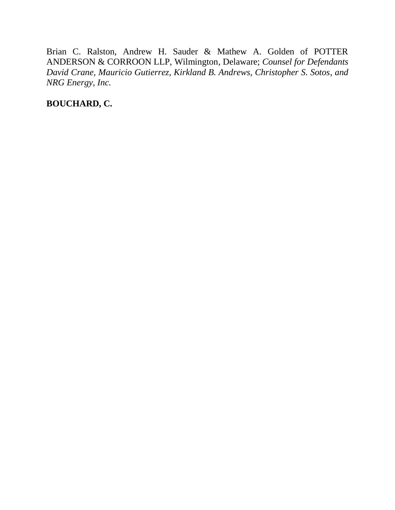Brian C. Ralston, Andrew H. Sauder & Mathew A. Golden of POTTER ANDERSON & CORROON LLP, Wilmington, Delaware; *Counsel for Defendants David Crane, Mauricio Gutierrez, Kirkland B. Andrews, Christopher S. Sotos, and NRG Energy, Inc.*

**BOUCHARD, C.**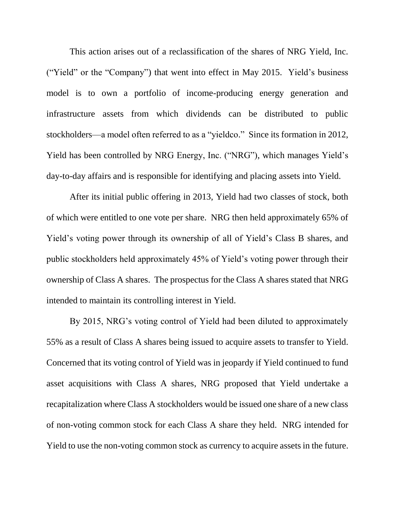This action arises out of a reclassification of the shares of NRG Yield, Inc. ("Yield" or the "Company") that went into effect in May 2015. Yield's business model is to own a portfolio of income-producing energy generation and infrastructure assets from which dividends can be distributed to public stockholders—a model often referred to as a "yieldco." Since its formation in 2012, Yield has been controlled by NRG Energy, Inc. ("NRG"), which manages Yield's day-to-day affairs and is responsible for identifying and placing assets into Yield.

After its initial public offering in 2013, Yield had two classes of stock, both of which were entitled to one vote per share. NRG then held approximately 65% of Yield's voting power through its ownership of all of Yield's Class B shares, and public stockholders held approximately 45% of Yield's voting power through their ownership of Class A shares. The prospectus for the Class A shares stated that NRG intended to maintain its controlling interest in Yield.

By 2015, NRG's voting control of Yield had been diluted to approximately 55% as a result of Class A shares being issued to acquire assets to transfer to Yield. Concerned that its voting control of Yield was in jeopardy if Yield continued to fund asset acquisitions with Class A shares, NRG proposed that Yield undertake a recapitalization where Class A stockholders would be issued one share of a new class of non-voting common stock for each Class A share they held. NRG intended for Yield to use the non-voting common stock as currency to acquire assets in the future.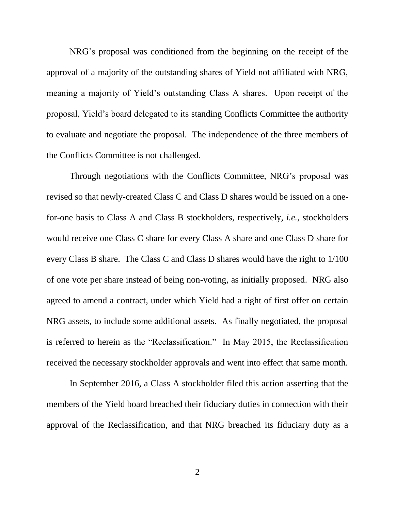NRG's proposal was conditioned from the beginning on the receipt of the approval of a majority of the outstanding shares of Yield not affiliated with NRG, meaning a majority of Yield's outstanding Class A shares. Upon receipt of the proposal, Yield's board delegated to its standing Conflicts Committee the authority to evaluate and negotiate the proposal. The independence of the three members of the Conflicts Committee is not challenged.

Through negotiations with the Conflicts Committee, NRG's proposal was revised so that newly-created Class C and Class D shares would be issued on a onefor-one basis to Class A and Class B stockholders, respectively, *i.e.*, stockholders would receive one Class C share for every Class A share and one Class D share for every Class B share. The Class C and Class D shares would have the right to 1/100 of one vote per share instead of being non-voting, as initially proposed. NRG also agreed to amend a contract, under which Yield had a right of first offer on certain NRG assets, to include some additional assets. As finally negotiated, the proposal is referred to herein as the "Reclassification." In May 2015, the Reclassification received the necessary stockholder approvals and went into effect that same month.

In September 2016, a Class A stockholder filed this action asserting that the members of the Yield board breached their fiduciary duties in connection with their approval of the Reclassification, and that NRG breached its fiduciary duty as a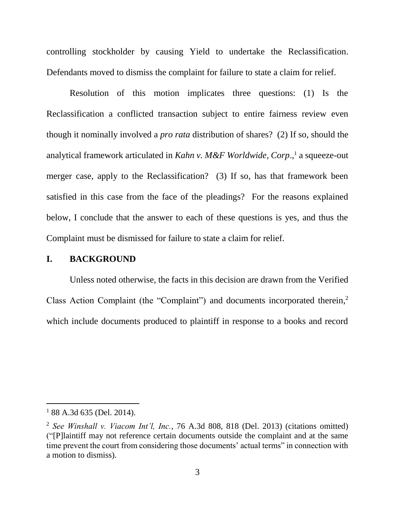controlling stockholder by causing Yield to undertake the Reclassification. Defendants moved to dismiss the complaint for failure to state a claim for relief.

Resolution of this motion implicates three questions: (1) Is the Reclassification a conflicted transaction subject to entire fairness review even though it nominally involved a *pro rata* distribution of shares? (2) If so, should the analytical framework articulated in *Kahn v. M&F Worldwide, Corp*., <sup>1</sup> a squeeze-out merger case, apply to the Reclassification? (3) If so, has that framework been satisfied in this case from the face of the pleadings? For the reasons explained below, I conclude that the answer to each of these questions is yes, and thus the Complaint must be dismissed for failure to state a claim for relief.

## **I. BACKGROUND**

Unless noted otherwise, the facts in this decision are drawn from the Verified Class Action Complaint (the "Complaint") and documents incorporated therein, 2 which include documents produced to plaintiff in response to a books and record

 $188$  A.3d 635 (Del. 2014).

<sup>2</sup> *See Winshall v. Viacom Int'l, Inc.*, 76 A.3d 808, 818 (Del. 2013) (citations omitted) ("[P]laintiff may not reference certain documents outside the complaint and at the same time prevent the court from considering those documents' actual terms" in connection with a motion to dismiss).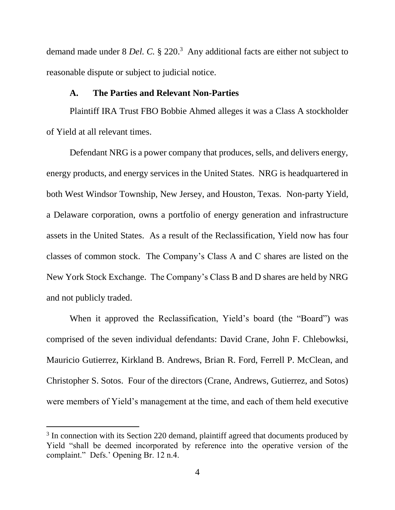demand made under 8 *Del. C.* § 220.<sup>3</sup> Any additional facts are either not subject to reasonable dispute or subject to judicial notice.

## **A. The Parties and Relevant Non-Parties**

Plaintiff IRA Trust FBO Bobbie Ahmed alleges it was a Class A stockholder of Yield at all relevant times.

Defendant NRG is a power company that produces, sells, and delivers energy, energy products, and energy services in the United States. NRG is headquartered in both West Windsor Township, New Jersey, and Houston, Texas. Non-party Yield, a Delaware corporation, owns a portfolio of energy generation and infrastructure assets in the United States. As a result of the Reclassification, Yield now has four classes of common stock. The Company's Class A and C shares are listed on the New York Stock Exchange. The Company's Class B and D shares are held by NRG and not publicly traded.

When it approved the Reclassification, Yield's board (the "Board") was comprised of the seven individual defendants: David Crane, John F. Chlebowksi, Mauricio Gutierrez, Kirkland B. Andrews, Brian R. Ford, Ferrell P. McClean, and Christopher S. Sotos. Four of the directors (Crane, Andrews, Gutierrez, and Sotos) were members of Yield's management at the time, and each of them held executive

<sup>&</sup>lt;sup>3</sup> In connection with its Section 220 demand, plaintiff agreed that documents produced by Yield "shall be deemed incorporated by reference into the operative version of the complaint." Defs.' Opening Br. 12 n.4.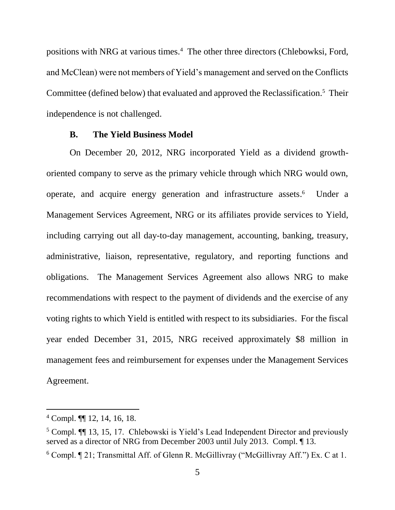positions with NRG at various times.<sup>4</sup> The other three directors (Chlebowksi, Ford, and McClean) were not members of Yield's management and served on the Conflicts Committee (defined below) that evaluated and approved the Reclassification.<sup>5</sup> Their independence is not challenged.

#### **B. The Yield Business Model**

On December 20, 2012, NRG incorporated Yield as a dividend growthoriented company to serve as the primary vehicle through which NRG would own, operate, and acquire energy generation and infrastructure assets. 6 Under a Management Services Agreement, NRG or its affiliates provide services to Yield, including carrying out all day-to-day management, accounting, banking, treasury, administrative, liaison, representative, regulatory, and reporting functions and obligations. The Management Services Agreement also allows NRG to make recommendations with respect to the payment of dividends and the exercise of any voting rights to which Yield is entitled with respect to its subsidiaries. For the fiscal year ended December 31, 2015, NRG received approximately \$8 million in management fees and reimbursement for expenses under the Management Services Agreement.

<sup>4</sup> Compl. ¶¶ 12, 14, 16, 18.

<sup>&</sup>lt;sup>5</sup> Compl. **[14]** 13, 15, 17. Chlebowski is Yield's Lead Independent Director and previously served as a director of NRG from December 2003 until July 2013. Compl. ¶ 13.

 $6$  Compl.  $\P$  21; Transmittal Aff. of Glenn R. McGillivray ("McGillivray Aff.") Ex. C at 1.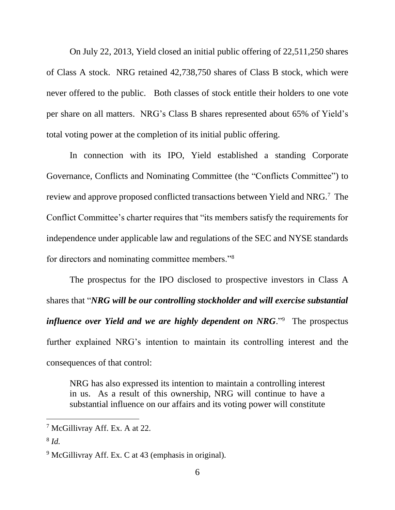On July 22, 2013, Yield closed an initial public offering of 22,511,250 shares of Class A stock. NRG retained 42,738,750 shares of Class B stock, which were never offered to the public. Both classes of stock entitle their holders to one vote per share on all matters. NRG's Class B shares represented about 65% of Yield's total voting power at the completion of its initial public offering.

In connection with its IPO, Yield established a standing Corporate Governance, Conflicts and Nominating Committee (the "Conflicts Committee") to review and approve proposed conflicted transactions between Yield and NRG.<sup>7</sup> The Conflict Committee's charter requires that "its members satisfy the requirements for independence under applicable law and regulations of the SEC and NYSE standards for directors and nominating committee members."<sup>8</sup>

The prospectus for the IPO disclosed to prospective investors in Class A shares that "*NRG will be our controlling stockholder and will exercise substantial influence over Yield and we are highly dependent on NRG*."<sup>9</sup> The prospectus further explained NRG's intention to maintain its controlling interest and the consequences of that control:

NRG has also expressed its intention to maintain a controlling interest in us. As a result of this ownership, NRG will continue to have a substantial influence on our affairs and its voting power will constitute

<sup>&</sup>lt;sup>7</sup> McGillivray Aff. Ex. A at 22.

<sup>8</sup> *Id.*

 $9$  McGillivray Aff. Ex. C at 43 (emphasis in original).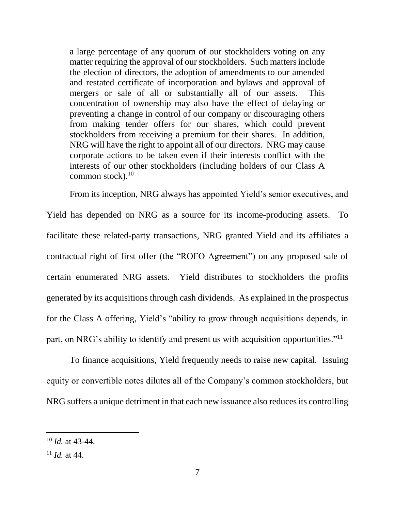a large percentage of any quorum of our stockholders voting on any matter requiring the approval of our stockholders. Such matters include the election of directors, the adoption of amendments to our amended and restated certificate of incorporation and bylaws and approval of mergers or sale of all or substantially all of our assets. This concentration of ownership may also have the effect of delaying or preventing a change in control of our company or discouraging others from making tender offers for our shares, which could prevent stockholders from receiving a premium for their shares. In addition, NRG will have the right to appoint all of our directors. NRG may cause corporate actions to be taken even if their interests conflict with the interests of our other stockholders (including holders of our Class A common stock). $10$ 

From its inception, NRG always has appointed Yield's senior executives, and Yield has depended on NRG as a source for its income-producing assets. To facilitate these related-party transactions, NRG granted Yield and its affiliates a contractual right of first offer (the "ROFO Agreement") on any proposed sale of certain enumerated NRG assets. Yield distributes to stockholders the profits generated by its acquisitions through cash dividends. As explained in the prospectus for the Class A offering, Yield's "ability to grow through acquisitions depends, in part, on NRG's ability to identify and present us with acquisition opportunities."<sup>11</sup>

To finance acquisitions, Yield frequently needs to raise new capital. Issuing equity or convertible notes dilutes all of the Company's common stockholders, but NRG suffers a unique detriment in that each new issuance also reduces its controlling

<sup>10</sup> *Id.* at 43-44.

 $11$  *Id.* at 44.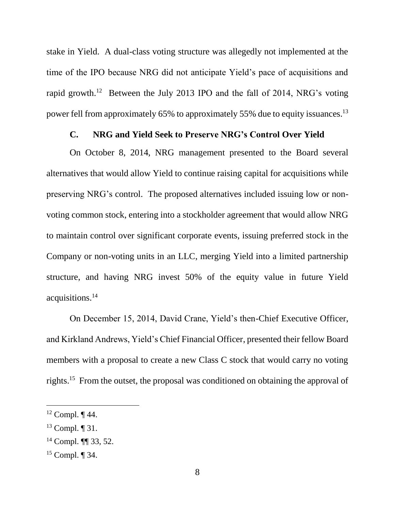stake in Yield. A dual-class voting structure was allegedly not implemented at the time of the IPO because NRG did not anticipate Yield's pace of acquisitions and rapid growth.<sup>12</sup> Between the July 2013 IPO and the fall of 2014, NRG's voting power fell from approximately 65% to approximately 55% due to equity issuances.<sup>13</sup>

#### **C. NRG and Yield Seek to Preserve NRG's Control Over Yield**

On October 8, 2014, NRG management presented to the Board several alternatives that would allow Yield to continue raising capital for acquisitions while preserving NRG's control. The proposed alternatives included issuing low or nonvoting common stock, entering into a stockholder agreement that would allow NRG to maintain control over significant corporate events, issuing preferred stock in the Company or non-voting units in an LLC, merging Yield into a limited partnership structure, and having NRG invest 50% of the equity value in future Yield acquisitions.<sup>14</sup>

On December 15, 2014, David Crane, Yield's then-Chief Executive Officer, and Kirkland Andrews, Yield's Chief Financial Officer, presented their fellow Board members with a proposal to create a new Class C stock that would carry no voting rights.<sup>15</sup> From the outset, the proposal was conditioned on obtaining the approval of

 $12$  Compl.  $\P$  44.

<sup>13</sup> Compl. ¶ 31.

<sup>14</sup> Compl. ¶¶ 33, 52.

<sup>15</sup> Compl. ¶ 34.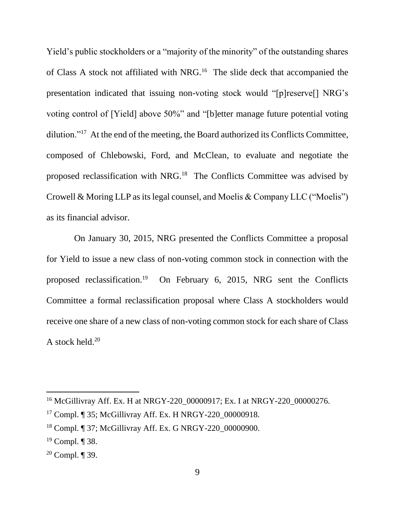Yield's public stockholders or a "majority of the minority" of the outstanding shares of Class A stock not affiliated with NRG.<sup>16</sup> The slide deck that accompanied the presentation indicated that issuing non-voting stock would "[p]reserve[] NRG's voting control of [Yield] above 50%" and "[b]etter manage future potential voting dilution."<sup>17</sup> At the end of the meeting, the Board authorized its Conflicts Committee, composed of Chlebowski, Ford, and McClean, to evaluate and negotiate the proposed reclassification with NRG.<sup>18</sup> The Conflicts Committee was advised by Crowell & Moring LLP as its legal counsel, and Moelis & Company LLC ("Moelis") as its financial advisor.

 On January 30, 2015, NRG presented the Conflicts Committee a proposal for Yield to issue a new class of non-voting common stock in connection with the proposed reclassification.<sup>19</sup> On February 6, 2015, NRG sent the Conflicts Committee a formal reclassification proposal where Class A stockholders would receive one share of a new class of non-voting common stock for each share of Class A stock held. $20$ 

<sup>&</sup>lt;sup>16</sup> McGillivray Aff. Ex. H at NRGY-220 00000917; Ex. I at NRGY-220 00000276.

<sup>&</sup>lt;sup>17</sup> Compl. ¶ 35; McGillivray Aff. Ex. H NRGY-220 00000918.

<sup>18</sup> Compl. ¶ 37; McGillivray Aff. Ex. G NRGY-220\_00000900.

 $19$  Compl. ¶ 38.

<sup>&</sup>lt;sup>20</sup> Compl.  $\P$  39.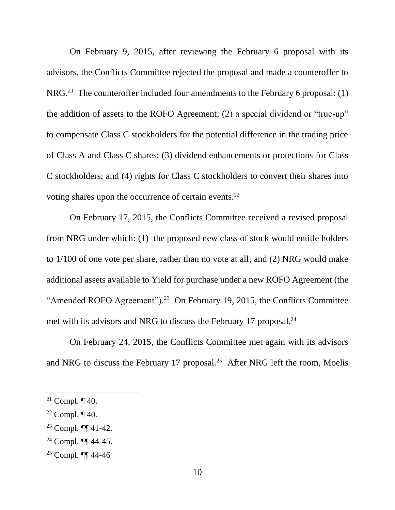On February 9, 2015, after reviewing the February 6 proposal with its advisors, the Conflicts Committee rejected the proposal and made a counteroffer to NRG.<sup>21</sup> The counteroffer included four amendments to the February 6 proposal: (1) the addition of assets to the ROFO Agreement; (2) a special dividend or "true-up" to compensate Class C stockholders for the potential difference in the trading price of Class A and Class C shares; (3) dividend enhancements or protections for Class C stockholders; and (4) rights for Class C stockholders to convert their shares into voting shares upon the occurrence of certain events.<sup>22</sup>

On February 17, 2015, the Conflicts Committee received a revised proposal from NRG under which: (1) the proposed new class of stock would entitle holders to 1/100 of one vote per share, rather than no vote at all; and (2) NRG would make additional assets available to Yield for purchase under a new ROFO Agreement (the "Amended ROFO Agreement").<sup>23</sup> On February 19, 2015, the Conflicts Committee met with its advisors and NRG to discuss the February 17 proposal.<sup>24</sup>

On February 24, 2015, the Conflicts Committee met again with its advisors and NRG to discuss the February 17 proposal.<sup>25</sup> After NRG left the room, Moelis

l

<sup>23</sup> Compl. ¶¶ 41-42.

<sup>25</sup> Compl. ¶¶ 44-46

<sup>&</sup>lt;sup>21</sup> Compl.  $\P$  40.

<sup>&</sup>lt;sup>22</sup> Compl.  $\P$  40.

 $24$  Compl. **[144-45.]**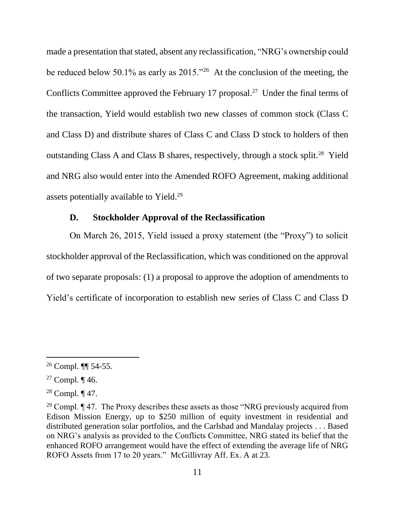made a presentation that stated, absent any reclassification, "NRG's ownership could be reduced below 50.1% as early as  $2015.^{326}$  At the conclusion of the meeting, the Conflicts Committee approved the February 17 proposal.<sup>27</sup> Under the final terms of the transaction, Yield would establish two new classes of common stock (Class C and Class D) and distribute shares of Class C and Class D stock to holders of then outstanding Class A and Class B shares, respectively, through a stock split.<sup>28</sup> Yield and NRG also would enter into the Amended ROFO Agreement, making additional assets potentially available to Yield.<sup>29</sup>

### **D. Stockholder Approval of the Reclassification**

On March 26, 2015, Yield issued a proxy statement (the "Proxy") to solicit stockholder approval of the Reclassification, which was conditioned on the approval of two separate proposals: (1) a proposal to approve the adoption of amendments to Yield's certificate of incorporation to establish new series of Class C and Class D

<sup>26</sup> Compl. ¶¶ 54-55.

<sup>&</sup>lt;sup>27</sup> Compl.  $\P$  46.

<sup>&</sup>lt;sup>28</sup> Compl.  $\P$  47.

<sup>&</sup>lt;sup>29</sup> Compl.  $\P$  47. The Proxy describes these assets as those "NRG previously acquired from Edison Mission Energy, up to \$250 million of equity investment in residential and distributed generation solar portfolios, and the Carlsbad and Mandalay projects . . . Based on NRG's analysis as provided to the Conflicts Committee, NRG stated its belief that the enhanced ROFO arrangement would have the effect of extending the average life of NRG ROFO Assets from 17 to 20 years." McGillivray Aff. Ex. A at 23.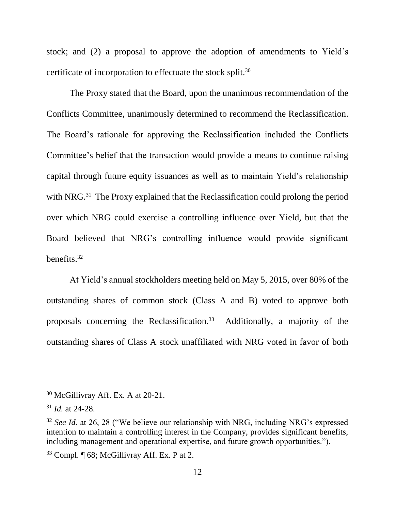stock; and (2) a proposal to approve the adoption of amendments to Yield's certificate of incorporation to effectuate the stock split.<sup>30</sup>

The Proxy stated that the Board, upon the unanimous recommendation of the Conflicts Committee, unanimously determined to recommend the Reclassification. The Board's rationale for approving the Reclassification included the Conflicts Committee's belief that the transaction would provide a means to continue raising capital through future equity issuances as well as to maintain Yield's relationship with NRG.<sup>31</sup> The Proxy explained that the Reclassification could prolong the period over which NRG could exercise a controlling influence over Yield, but that the Board believed that NRG's controlling influence would provide significant benefits.<sup>32</sup>

At Yield's annual stockholders meeting held on May 5, 2015, over 80% of the outstanding shares of common stock (Class A and B) voted to approve both proposals concerning the Reclassification.<sup>33</sup> Additionally, a majority of the outstanding shares of Class A stock unaffiliated with NRG voted in favor of both

<sup>30</sup> McGillivray Aff. Ex. A at 20-21.

<sup>31</sup> *Id.* at 24-28.

<sup>32</sup> *See Id.* at 26, 28 ("We believe our relationship with NRG, including NRG's expressed intention to maintain a controlling interest in the Company, provides significant benefits, including management and operational expertise, and future growth opportunities.").

 $33$  Compl.  $\P$  68; McGillivray Aff. Ex. P at 2.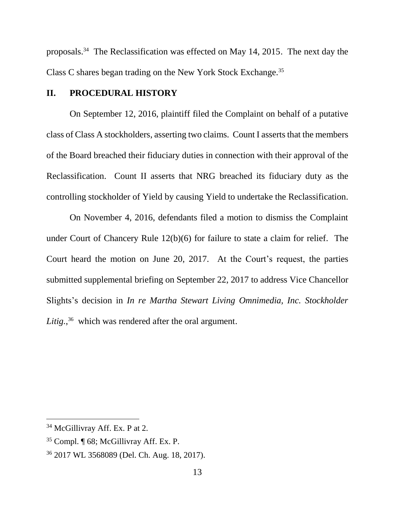proposals. 34 The Reclassification was effected on May 14, 2015. The next day the Class C shares began trading on the New York Stock Exchange.<sup>35</sup>

## **II. PROCEDURAL HISTORY**

On September 12, 2016, plaintiff filed the Complaint on behalf of a putative class of Class A stockholders, asserting two claims. Count I asserts that the members of the Board breached their fiduciary duties in connection with their approval of the Reclassification. Count II asserts that NRG breached its fiduciary duty as the controlling stockholder of Yield by causing Yield to undertake the Reclassification.

On November 4, 2016, defendants filed a motion to dismiss the Complaint under Court of Chancery Rule 12(b)(6) for failure to state a claim for relief. The Court heard the motion on June 20, 2017. At the Court's request, the parties submitted supplemental briefing on September 22, 2017 to address Vice Chancellor Slights's decision in *In re Martha Stewart Living Omnimedia, Inc. Stockholder*  Litig.,<sup>36</sup> which was rendered after the oral argument.

<sup>&</sup>lt;sup>34</sup> McGillivray Aff. Ex. P at 2.

<sup>35</sup> Compl. ¶ 68; McGillivray Aff. Ex. P.

<sup>36</sup> 2017 WL 3568089 (Del. Ch. Aug. 18, 2017).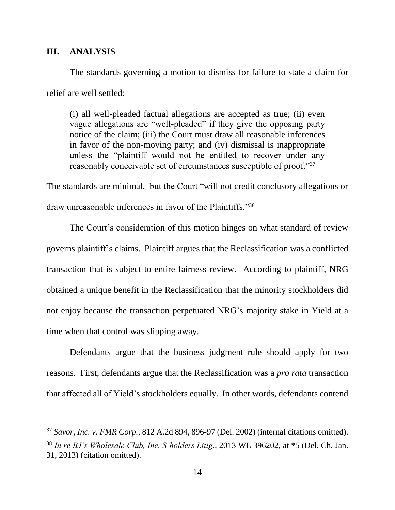### **III. ANALYSIS**

 $\overline{a}$ 

The standards governing a motion to dismiss for failure to state a claim for relief are well settled:

(i) all well-pleaded factual allegations are accepted as true; (ii) even vague allegations are "well-pleaded" if they give the opposing party notice of the claim; (iii) the Court must draw all reasonable inferences in favor of the non-moving party; and (iv) dismissal is inappropriate unless the "plaintiff would not be entitled to recover under any reasonably conceivable set of circumstances susceptible of proof."<sup>37</sup>

The standards are minimal, but the Court "will not credit conclusory allegations or draw unreasonable inferences in favor of the Plaintiffs."<sup>38</sup>

The Court's consideration of this motion hinges on what standard of review governs plaintiff's claims. Plaintiff argues that the Reclassification was a conflicted transaction that is subject to entire fairness review. According to plaintiff, NRG obtained a unique benefit in the Reclassification that the minority stockholders did not enjoy because the transaction perpetuated NRG's majority stake in Yield at a time when that control was slipping away.

Defendants argue that the business judgment rule should apply for two reasons. First, defendants argue that the Reclassification was a *pro rata* transaction that affected all of Yield's stockholders equally. In other words, defendants contend

<sup>37</sup> *Savor, Inc. v. FMR Corp.*, 812 A.2d 894, 896-97 (Del. 2002) (internal citations omitted). <sup>38</sup> *In re BJ's Wholesale Club, Inc. S'holders Litig.*, 2013 WL 396202, at \*5 (Del. Ch. Jan. 31, 2013) (citation omitted).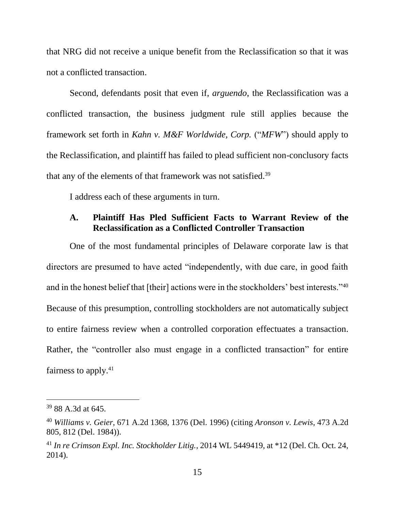that NRG did not receive a unique benefit from the Reclassification so that it was not a conflicted transaction.

Second, defendants posit that even if, *arguendo*, the Reclassification was a conflicted transaction, the business judgment rule still applies because the framework set forth in *Kahn v. M&F Worldwide, Corp.* ("*MFW*") should apply to the Reclassification, and plaintiff has failed to plead sufficient non-conclusory facts that any of the elements of that framework was not satisfied. 39

I address each of these arguments in turn.

# **A. Plaintiff Has Pled Sufficient Facts to Warrant Review of the Reclassification as a Conflicted Controller Transaction**

One of the most fundamental principles of Delaware corporate law is that directors are presumed to have acted "independently, with due care, in good faith and in the honest belief that [their] actions were in the stockholders' best interests."40 Because of this presumption, controlling stockholders are not automatically subject to entire fairness review when a controlled corporation effectuates a transaction. Rather, the "controller also must engage in a conflicted transaction" for entire fairness to apply.<sup>41</sup>

<sup>39</sup> 88 A.3d at 645.

<sup>40</sup> *Williams v. Geier*, 671 A.2d 1368, 1376 (Del. 1996) (citing *Aronson v. Lewis*, 473 A.2d 805, 812 (Del. 1984)).

<sup>41</sup> *In re Crimson Expl. Inc. Stockholder Litig.*, 2014 WL 5449419, at \*12 (Del. Ch. Oct. 24, 2014).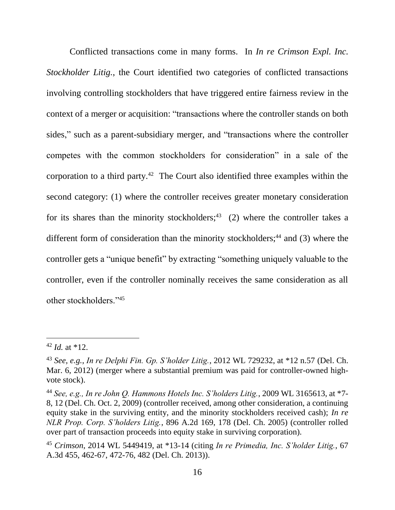Conflicted transactions come in many forms. In *In re Crimson Expl. Inc. Stockholder Litig.*, the Court identified two categories of conflicted transactions involving controlling stockholders that have triggered entire fairness review in the context of a merger or acquisition: "transactions where the controller stands on both sides," such as a parent-subsidiary merger, and "transactions where the controller competes with the common stockholders for consideration" in a sale of the corporation to a third party. $42$  The Court also identified three examples within the second category: (1) where the controller receives greater monetary consideration for its shares than the minority stockholders;<sup>43</sup> (2) where the controller takes a different form of consideration than the minority stockholders; $44$  and (3) where the controller gets a "unique benefit" by extracting "something uniquely valuable to the controller, even if the controller nominally receives the same consideration as all other stockholders."<sup>45</sup>

 $42$  *Id.* at \*12.

<sup>43</sup> *See, e.g.*, *In re Delphi Fin. Gp. S'holder Litig.*, 2012 WL 729232, at \*12 n.57 (Del. Ch. Mar. 6, 2012) (merger where a substantial premium was paid for controller-owned highvote stock).

<sup>44</sup> *See, e.g., In re John Q. Hammons Hotels Inc. S'holders Litig.*, 2009 WL 3165613, at \*7- 8, 12 (Del. Ch. Oct. 2, 2009) (controller received, among other consideration, a continuing equity stake in the surviving entity, and the minority stockholders received cash); *In re NLR Prop. Corp. S'holders Litig.*, 896 A.2d 169, 178 (Del. Ch. 2005) (controller rolled over part of transaction proceeds into equity stake in surviving corporation).

<sup>45</sup> *Crimson*, 2014 WL 5449419, at \*13-14 (citing *In re Primedia, Inc. S'holder Litig.*, 67 A.3d 455, 462-67, 472-76, 482 (Del. Ch. 2013)).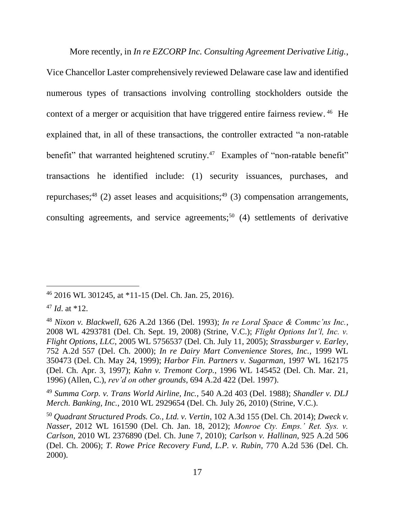More recently, in *In re EZCORP Inc. Consulting Agreement Derivative Litig.*, Vice Chancellor Laster comprehensively reviewed Delaware case law and identified numerous types of transactions involving controlling stockholders outside the context of a merger or acquisition that have triggered entire fairness review.<sup>46</sup> He explained that, in all of these transactions, the controller extracted "a non-ratable benefit" that warranted heightened scrutiny.<sup>47</sup> Examples of "non-ratable benefit" transactions he identified include: (1) security issuances, purchases, and repurchases;<sup>48</sup> (2) asset leases and acquisitions;<sup>49</sup> (3) compensation arrangements, consulting agreements, and service agreements;<sup>50</sup> (4) settlements of derivative

 $\overline{a}$ 

<sup>49</sup> *Summa Corp. v. Trans World Airline, Inc.*, 540 A.2d 403 (Del. 1988); *Shandler v. DLJ Merch. Banking, Inc.*, 2010 WL 2929654 (Del. Ch. July 26, 2010) (Strine, V.C.).

<sup>46</sup> 2016 WL 301245, at \*11-15 (Del. Ch. Jan. 25, 2016).

<sup>47</sup> *Id*. at \*12.

<sup>48</sup> *Nixon v. Blackwell*, 626 A.2d 1366 (Del. 1993); *In re Loral Space & Commc'ns Inc.*, 2008 WL 4293781 (Del. Ch. Sept. 19, 2008) (Strine, V.C.); *Flight Options Int'l, Inc. v. Flight Options, LLC*, 2005 WL 5756537 (Del. Ch. July 11, 2005); *Strassburger v. Earley*, 752 A.2d 557 (Del. Ch. 2000); *In re Dairy Mart Convenience Stores, Inc.*, 1999 WL 350473 (Del. Ch. May 24, 1999); *Harbor Fin. Partners v. Sugarman*, 1997 WL 162175 (Del. Ch. Apr. 3, 1997); *Kahn v. Tremont Corp.*, 1996 WL 145452 (Del. Ch. Mar. 21, 1996) (Allen, C.), *rev'd on other grounds*, 694 A.2d 422 (Del. 1997).

<sup>50</sup> *Quadrant Structured Prods. Co., Ltd. v. Vertin*, 102 A.3d 155 (Del. Ch. 2014); *Dweck v. Nasser*, 2012 WL 161590 (Del. Ch. Jan. 18, 2012); *Monroe Cty. Emps.' Ret. Sys. v. Carlson*, 2010 WL 2376890 (Del. Ch. June 7, 2010); *Carlson v. Hallinan*, 925 A.2d 506 (Del. Ch. 2006); *T. Rowe Price Recovery Fund, L.P. v. Rubin*, 770 A.2d 536 (Del. Ch. 2000).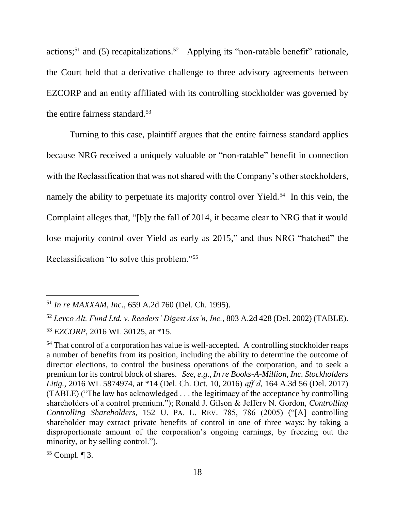actions;<sup>51</sup> and (5) recapitalizations.<sup>52</sup> Applying its "non-ratable benefit" rationale, the Court held that a derivative challenge to three advisory agreements between EZCORP and an entity affiliated with its controlling stockholder was governed by the entire fairness standard. 53

Turning to this case, plaintiff argues that the entire fairness standard applies because NRG received a uniquely valuable or "non-ratable" benefit in connection with the Reclassification that was not shared with the Company's other stockholders, namely the ability to perpetuate its majority control over Yield.<sup>54</sup> In this vein, the Complaint alleges that, "[b]y the fall of 2014, it became clear to NRG that it would lose majority control over Yield as early as 2015," and thus NRG "hatched" the Reclassification "to solve this problem." 55

<sup>51</sup> *In re MAXXAM, Inc.*, 659 A.2d 760 (Del. Ch. 1995).

<sup>52</sup> *Levco Alt. Fund Ltd. v. Readers' Digest Ass'n, Inc.*, 803 A.2d 428 (Del. 2002) (TABLE). <sup>53</sup> *EZCORP*, 2016 WL 30125, at \*15.

<sup>&</sup>lt;sup>54</sup> That control of a corporation has value is well-accepted. A controlling stockholder reaps a number of benefits from its position, including the ability to determine the outcome of director elections, to control the business operations of the corporation, and to seek a premium for its control block of shares. *See, e.g., In re Books-A-Million, Inc. Stockholders Litig.*, 2016 WL 5874974, at \*14 (Del. Ch. Oct. 10, 2016) *aff'd*, 164 A.3d 56 (Del. 2017) (TABLE) ("The law has acknowledged . . . the legitimacy of the acceptance by controlling shareholders of a control premium."); Ronald J. Gilson & Jeffery N. Gordon, *Controlling Controlling Shareholders*, 152 U. PA. L. REV. 785, 786 (2005) ("[A] controlling shareholder may extract private benefits of control in one of three ways: by taking a disproportionate amount of the corporation's ongoing earnings, by freezing out the minority, or by selling control.").

 $55$  Compl.  $\P$  3.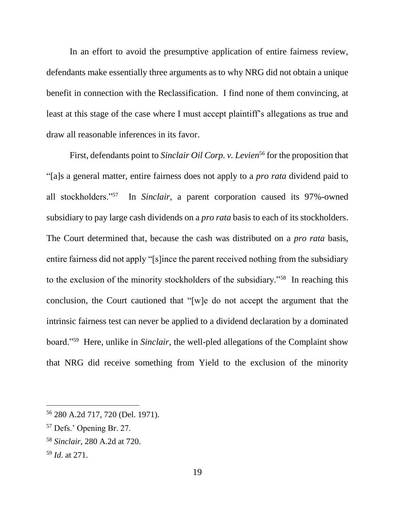In an effort to avoid the presumptive application of entire fairness review, defendants make essentially three arguments as to why NRG did not obtain a unique benefit in connection with the Reclassification. I find none of them convincing, at least at this stage of the case where I must accept plaintiff's allegations as true and draw all reasonable inferences in its favor.

First, defendants point to *Sinclair Oil Corp. v. Levien*<sup>56</sup> for the proposition that "[a]s a general matter, entire fairness does not apply to a *pro rata* dividend paid to all stockholders."<sup>57</sup> In *Sinclair*, a parent corporation caused its 97%-owned subsidiary to pay large cash dividends on a *pro rata* basis to each of its stockholders. The Court determined that, because the cash was distributed on a *pro rata* basis, entire fairness did not apply "[s]ince the parent received nothing from the subsidiary to the exclusion of the minority stockholders of the subsidiary."<sup>58</sup> In reaching this conclusion, the Court cautioned that "[w]e do not accept the argument that the intrinsic fairness test can never be applied to a dividend declaration by a dominated board."<sup>59</sup> Here, unlike in *Sinclair*, the well-pled allegations of the Complaint show that NRG did receive something from Yield to the exclusion of the minority

<sup>56</sup> 280 A.2d 717, 720 (Del. 1971).

<sup>57</sup> Defs.' Opening Br. 27.

<sup>58</sup> *Sinclair*, 280 A.2d at 720.

<sup>59</sup> *Id*. at 271.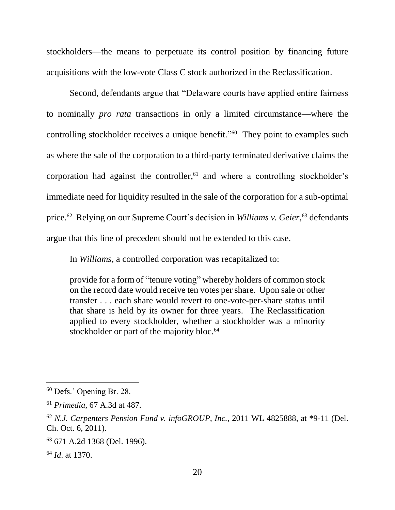stockholders—the means to perpetuate its control position by financing future acquisitions with the low-vote Class C stock authorized in the Reclassification.

Second, defendants argue that "Delaware courts have applied entire fairness to nominally *pro rata* transactions in only a limited circumstance—where the controlling stockholder receives a unique benefit." 60 They point to examples such as where the sale of the corporation to a third-party terminated derivative claims the corporation had against the controller, <sup>61</sup> and where a controlling stockholder's immediate need for liquidity resulted in the sale of the corporation for a sub-optimal price.<sup>62</sup> Relying on our Supreme Court's decision in *Williams v. Geier*,<sup>63</sup> defendants argue that this line of precedent should not be extended to this case.

In *Williams*, a controlled corporation was recapitalized to:

provide for a form of "tenure voting" whereby holders of common stock on the record date would receive ten votes per share. Upon sale or other transfer . . . each share would revert to one-vote-per-share status until that share is held by its owner for three years. The Reclassification applied to every stockholder, whether a stockholder was a minority stockholder or part of the majority bloc.<sup>64</sup>

<sup>60</sup> Defs.' Opening Br. 28.

<sup>61</sup> *Primedia*, 67 A.3d at 487.

<sup>62</sup> *N.J. Carpenters Pension Fund v. infoGROUP, Inc.*, 2011 WL 4825888, at \*9-11 (Del. Ch. Oct. 6, 2011).

<sup>63</sup> 671 A.2d 1368 (Del. 1996).

<sup>64</sup> *Id*. at 1370.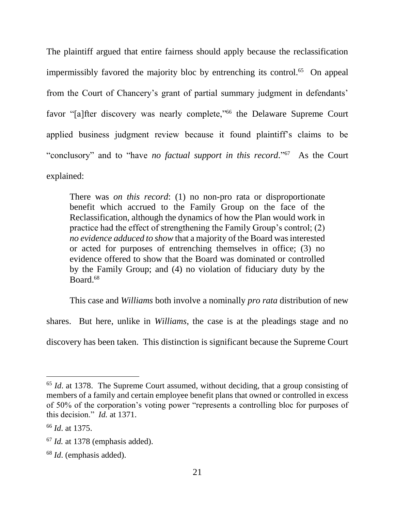The plaintiff argued that entire fairness should apply because the reclassification impermissibly favored the majority bloc by entrenching its control.<sup>65</sup> On appeal from the Court of Chancery's grant of partial summary judgment in defendants' favor "[a]fter discovery was nearly complete,"<sup>66</sup> the Delaware Supreme Court applied business judgment review because it found plaintiff's claims to be "conclusory" and to "have *no factual support in this record*."<sup>67</sup> As the Court explained:

There was *on this record*: (1) no non-pro rata or disproportionate benefit which accrued to the Family Group on the face of the Reclassification, although the dynamics of how the Plan would work in practice had the effect of strengthening the Family Group's control; (2) *no evidence adduced to show* that a majority of the Board was interested or acted for purposes of entrenching themselves in office; (3) no evidence offered to show that the Board was dominated or controlled by the Family Group; and (4) no violation of fiduciary duty by the Board.<sup>68</sup>

This case and *Williams* both involve a nominally *pro rata* distribution of new

shares. But here, unlike in *Williams*, the case is at the pleadings stage and no discovery has been taken. This distinction is significant because the Supreme Court

<sup>&</sup>lt;sup>65</sup> *Id.* at 1378. The Supreme Court assumed, without deciding, that a group consisting of members of a family and certain employee benefit plans that owned or controlled in excess of 50% of the corporation's voting power "represents a controlling bloc for purposes of this decision." *Id.* at 1371.

<sup>66</sup> *Id*. at 1375.

<sup>67</sup> *Id.* at 1378 (emphasis added).

<sup>68</sup> *Id*. (emphasis added).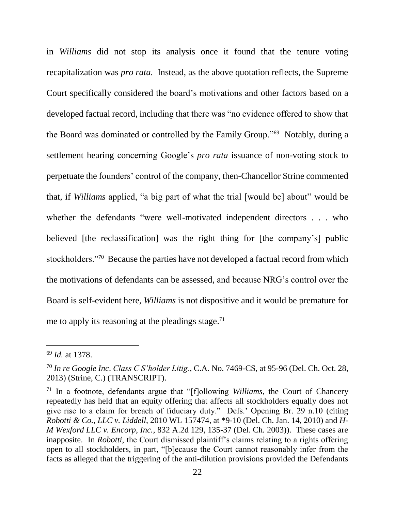in *Williams* did not stop its analysis once it found that the tenure voting recapitalization was *pro rata.* Instead, as the above quotation reflects, the Supreme Court specifically considered the board's motivations and other factors based on a developed factual record, including that there was "no evidence offered to show that the Board was dominated or controlled by the Family Group."<sup>69</sup> Notably, during a settlement hearing concerning Google's *pro rata* issuance of non-voting stock to perpetuate the founders' control of the company, then-Chancellor Strine commented that, if *Williams* applied, "a big part of what the trial [would be] about" would be whether the defendants "were well-motivated independent directors . . . who believed [the reclassification] was the right thing for [the company's] public stockholders."<sup>70</sup> Because the parties have not developed a factual record from which the motivations of defendants can be assessed, and because NRG's control over the Board is self-evident here, *Williams* is not dispositive and it would be premature for me to apply its reasoning at the pleadings stage.<sup>71</sup>

<sup>69</sup> *Id.* at 1378.

<sup>70</sup> *In re Google Inc*. *Class C S'holder Litig.*, C.A. No. 7469-CS, at 95-96 (Del. Ch. Oct. 28, 2013) (Strine, C.) (TRANSCRIPT).

<sup>71</sup> In a footnote, defendants argue that "[f]ollowing *Williams*, the Court of Chancery repeatedly has held that an equity offering that affects all stockholders equally does not give rise to a claim for breach of fiduciary duty." Defs.' Opening Br. 29 n.10 (citing *Robotti & Co., LLC v. Liddell*, 2010 WL 157474, at \*9-10 (Del. Ch. Jan. 14, 2010) and *H-M Wexford LLC v. Encorp, Inc.*, 832 A.2d 129, 135-37 (Del. Ch. 2003)). These cases are inapposite. In *Robotti*, the Court dismissed plaintiff's claims relating to a rights offering open to all stockholders, in part, "[b]ecause the Court cannot reasonably infer from the facts as alleged that the triggering of the anti-dilution provisions provided the Defendants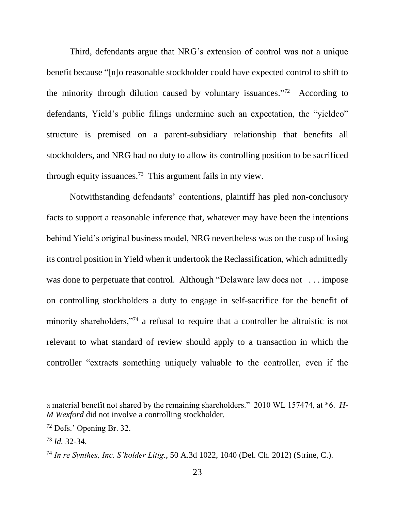Third, defendants argue that NRG's extension of control was not a unique benefit because "[n]o reasonable stockholder could have expected control to shift to the minority through dilution caused by voluntary issuances."<sup>72</sup> According to defendants, Yield's public filings undermine such an expectation, the "yieldco" structure is premised on a parent-subsidiary relationship that benefits all stockholders, and NRG had no duty to allow its controlling position to be sacrificed through equity issuances.<sup>73</sup> This argument fails in my view.

Notwithstanding defendants' contentions, plaintiff has pled non-conclusory facts to support a reasonable inference that, whatever may have been the intentions behind Yield's original business model, NRG nevertheless was on the cusp of losing its control position in Yield when it undertook the Reclassification, which admittedly was done to perpetuate that control. Although "Delaware law does not ... impose on controlling stockholders a duty to engage in self-sacrifice for the benefit of minority shareholders,"<sup>74</sup> a refusal to require that a controller be altruistic is not relevant to what standard of review should apply to a transaction in which the controller "extracts something uniquely valuable to the controller, even if the

a material benefit not shared by the remaining shareholders." 2010 WL 157474, at \*6. *H-M Wexford* did not involve a controlling stockholder.

<sup>72</sup> Defs.' Opening Br. 32.

<sup>73</sup> *Id.* 32-34.

<sup>74</sup> *In re Synthes, Inc. S'holder Litig.*, 50 A.3d 1022, 1040 (Del. Ch. 2012) (Strine, C.).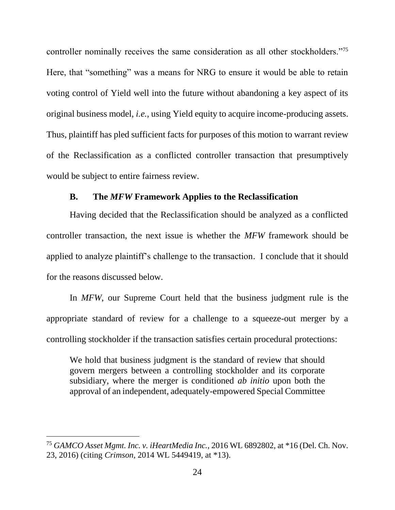controller nominally receives the same consideration as all other stockholders."<sup>75</sup> Here, that "something" was a means for NRG to ensure it would be able to retain voting control of Yield well into the future without abandoning a key aspect of its original business model, *i.e.*, using Yield equity to acquire income-producing assets. Thus, plaintiff has pled sufficient facts for purposes of this motion to warrant review of the Reclassification as a conflicted controller transaction that presumptively would be subject to entire fairness review.

## **B. The** *MFW* **Framework Applies to the Reclassification**

Having decided that the Reclassification should be analyzed as a conflicted controller transaction, the next issue is whether the *MFW* framework should be applied to analyze plaintiff's challenge to the transaction. I conclude that it should for the reasons discussed below.

In *MFW*, our Supreme Court held that the business judgment rule is the appropriate standard of review for a challenge to a squeeze-out merger by a controlling stockholder if the transaction satisfies certain procedural protections:

We hold that business judgment is the standard of review that should govern mergers between a controlling stockholder and its corporate subsidiary, where the merger is conditioned *ab initio* upon both the approval of an independent, adequately-empowered Special Committee

<sup>75</sup> *GAMCO Asset Mgmt. Inc. v. iHeartMedia Inc.*, 2016 WL 6892802, at \*16 (Del. Ch. Nov. 23, 2016) (citing *Crimson*, 2014 WL 5449419, at \*13).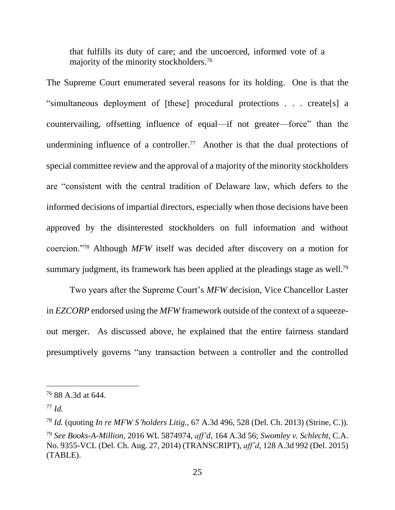that fulfills its duty of care; and the uncoerced, informed vote of a majority of the minority stockholders.<sup>76</sup>

The Supreme Court enumerated several reasons for its holding. One is that the "simultaneous deployment of [these] procedural protections . . . create[s] a countervailing, offsetting influence of equal—if not greater—force" than the undermining influence of a controller.<sup>77</sup> Another is that the dual protections of special committee review and the approval of a majority of the minority stockholders are "consistent with the central tradition of Delaware law, which defers to the informed decisions of impartial directors, especially when those decisions have been approved by the disinterested stockholders on full information and without coercion."<sup>78</sup> Although *MFW* itself was decided after discovery on a motion for summary judgment, its framework has been applied at the pleadings stage as well.<sup>79</sup>

Two years after the Supreme Court's *MFW* decision, Vice Chancellor Laster in *EZCORP* endorsed using the *MFW* framework outside of the context of a squeezeout merger. As discussed above, he explained that the entire fairness standard presumptively governs "any transaction between a controller and the controlled

<sup>76</sup> 88 A.3d at 644.

<sup>77</sup> *Id.*

<sup>78</sup> *Id.* (quoting *In re MFW S'holders Litig.*, 67 A.3d 496, 528 (Del. Ch. 2013) (Strine, C.)). <sup>79</sup> *See Books-A-Million*, 2016 WL 5874974, *aff'd*, 164 A.3d 56; *Swomley v. Schlecht*, C.A. No. 9355-VCL (Del. Ch. Aug. 27, 2014) (TRANSCRIPT), *aff'd*, 128 A.3d 992 (Del. 2015) (TABLE).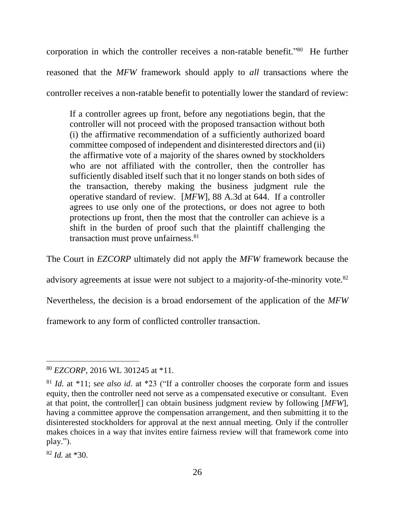corporation in which the controller receives a non-ratable benefit."<sup>80</sup> He further reasoned that the *MFW* framework should apply to *all* transactions where the controller receives a non-ratable benefit to potentially lower the standard of review:

If a controller agrees up front, before any negotiations begin, that the controller will not proceed with the proposed transaction without both (i) the affirmative recommendation of a sufficiently authorized board committee composed of independent and disinterested directors and (ii) the affirmative vote of a majority of the shares owned by stockholders who are not affiliated with the controller, then the controller has sufficiently disabled itself such that it no longer stands on both sides of the transaction, thereby making the business judgment rule the operative standard of review. [*MFW*], 88 A.3d at 644. If a controller agrees to use only one of the protections, or does not agree to both protections up front, then the most that the controller can achieve is a shift in the burden of proof such that the plaintiff challenging the transaction must prove unfairness.<sup>81</sup>

The Court in *EZCORP* ultimately did not apply the *MFW* framework because the

advisory agreements at issue were not subject to a majority-of-the-minority vote.<sup>82</sup>

Nevertheless, the decision is a broad endorsement of the application of the *MFW*

framework to any form of conflicted controller transaction.

<sup>80</sup> *EZCORP*, 2016 WL 301245 at \*11.

<sup>81</sup> *Id.* at \*11; s*ee also id.* at \*23 ("If a controller chooses the corporate form and issues equity, then the controller need not serve as a compensated executive or consultant. Even at that point, the controller[] can obtain business judgment review by following [*MFW*], having a committee approve the compensation arrangement, and then submitting it to the disinterested stockholders for approval at the next annual meeting. Only if the controller makes choices in a way that invites entire fairness review will that framework come into play.").

<sup>82</sup> *Id.* at \*30.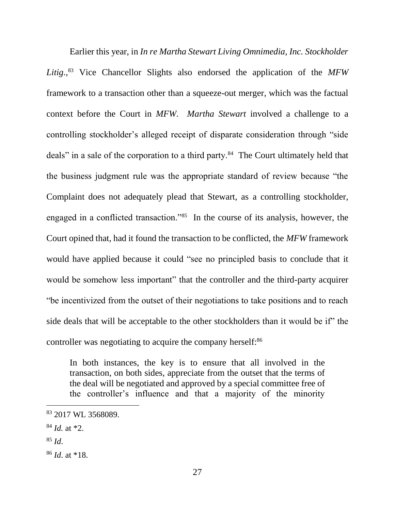Earlier this year, in *In re Martha Stewart Living Omnimedia, Inc. Stockholder Litig.*, <sup>83</sup> Vice Chancellor Slights also endorsed the application of the *MFW* framework to a transaction other than a squeeze-out merger, which was the factual context before the Court in *MFW*. *Martha Stewart* involved a challenge to a controlling stockholder's alleged receipt of disparate consideration through "side deals" in a sale of the corporation to a third party.<sup>84</sup> The Court ultimately held that the business judgment rule was the appropriate standard of review because "the Complaint does not adequately plead that Stewart, as a controlling stockholder, engaged in a conflicted transaction."<sup>85</sup> In the course of its analysis, however, the Court opined that, had it found the transaction to be conflicted, the *MFW* framework would have applied because it could "see no principled basis to conclude that it would be somehow less important" that the controller and the third-party acquirer "be incentivized from the outset of their negotiations to take positions and to reach side deals that will be acceptable to the other stockholders than it would be if" the controller was negotiating to acquire the company herself: 86

In both instances, the key is to ensure that all involved in the transaction, on both sides, appreciate from the outset that the terms of the deal will be negotiated and approved by a special committee free of the controller's influence and that a majority of the minority

 $85$  *Id.* 

<sup>83</sup> 2017 WL 3568089.

<sup>84</sup> *Id.* at \*2.

<sup>86</sup> *Id*. at \*18.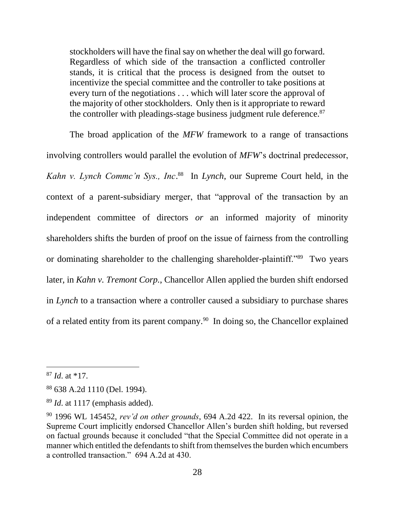stockholders will have the final say on whether the deal will go forward. Regardless of which side of the transaction a conflicted controller stands, it is critical that the process is designed from the outset to incentivize the special committee and the controller to take positions at every turn of the negotiations . . . which will later score the approval of the majority of other stockholders. Only then is it appropriate to reward the controller with pleadings-stage business judgment rule deference.<sup>87</sup>

The broad application of the *MFW* framework to a range of transactions involving controllers would parallel the evolution of *MFW*'s doctrinal predecessor, *Kahn v. Lynch Commc'n Sys., Inc*. 88 In *Lynch*, our Supreme Court held, in the context of a parent-subsidiary merger, that "approval of the transaction by an independent committee of directors *or* an informed majority of minority shareholders shifts the burden of proof on the issue of fairness from the controlling or dominating shareholder to the challenging shareholder-plaintiff."<sup>89</sup> Two years later, in *Kahn v. Tremont Corp.*, Chancellor Allen applied the burden shift endorsed in *Lynch* to a transaction where a controller caused a subsidiary to purchase shares of a related entity from its parent company.<sup>90</sup> In doing so, the Chancellor explained

<sup>87</sup> *Id*. at \*17.

<sup>88</sup> 638 A.2d 1110 (Del. 1994).

<sup>89</sup> *Id*. at 1117 (emphasis added).

<sup>90</sup> 1996 WL 145452, *rev'd on other grounds*, 694 A.2d 422. In its reversal opinion, the Supreme Court implicitly endorsed Chancellor Allen's burden shift holding, but reversed on factual grounds because it concluded "that the Special Committee did not operate in a manner which entitled the defendants to shift from themselves the burden which encumbers a controlled transaction." 694 A.2d at 430.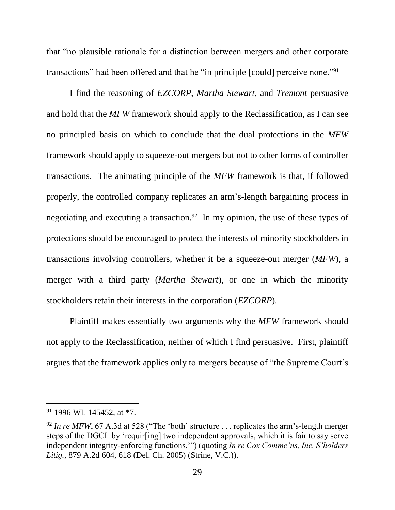that "no plausible rationale for a distinction between mergers and other corporate transactions" had been offered and that he "in principle [could] perceive none."<sup>91</sup>

I find the reasoning of *EZCORP*, *Martha Stewart*, and *Tremont* persuasive and hold that the *MFW* framework should apply to the Reclassification, as I can see no principled basis on which to conclude that the dual protections in the *MFW* framework should apply to squeeze-out mergers but not to other forms of controller transactions. The animating principle of the *MFW* framework is that, if followed properly, the controlled company replicates an arm's-length bargaining process in negotiating and executing a transaction.<sup>92</sup> In my opinion, the use of these types of protections should be encouraged to protect the interests of minority stockholders in transactions involving controllers, whether it be a squeeze-out merger (*MFW*), a merger with a third party (*Martha Stewart*), or one in which the minority stockholders retain their interests in the corporation (*EZCORP*).

Plaintiff makes essentially two arguments why the *MFW* framework should not apply to the Reclassification, neither of which I find persuasive. First, plaintiff argues that the framework applies only to mergers because of "the Supreme Court's

<sup>91</sup> 1996 WL 145452, at \*7.

<sup>&</sup>lt;sup>92</sup> In re MFW, 67 A.3d at 528 ("The 'both' structure ... replicates the arm's-length merger steps of the DGCL by 'requir[ing] two independent approvals, which it is fair to say serve independent integrity-enforcing functions.'") (quoting *In re Cox Commc'ns, Inc. S'holders Litig.*, 879 A.2d 604, 618 (Del. Ch. 2005) (Strine, V.C.)).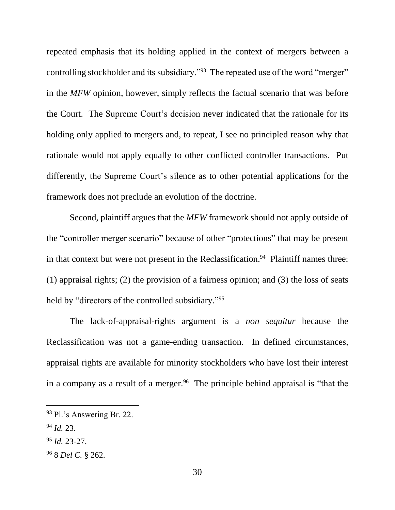repeated emphasis that its holding applied in the context of mergers between a controlling stockholder and its subsidiary."<sup>93</sup> The repeated use of the word "merger" in the *MFW* opinion, however, simply reflects the factual scenario that was before the Court. The Supreme Court's decision never indicated that the rationale for its holding only applied to mergers and, to repeat, I see no principled reason why that rationale would not apply equally to other conflicted controller transactions. Put differently, the Supreme Court's silence as to other potential applications for the framework does not preclude an evolution of the doctrine.

Second, plaintiff argues that the *MFW* framework should not apply outside of the "controller merger scenario" because of other "protections" that may be present in that context but were not present in the Reclassification. 94 Plaintiff names three: (1) appraisal rights; (2) the provision of a fairness opinion; and (3) the loss of seats held by "directors of the controlled subsidiary."<sup>95</sup>

The lack-of-appraisal-rights argument is a *non sequitur* because the Reclassification was not a game-ending transaction. In defined circumstances, appraisal rights are available for minority stockholders who have lost their interest in a company as a result of a merger.<sup>96</sup> The principle behind appraisal is "that the

<sup>94</sup> *Id.* 23.

- <sup>95</sup> *Id.* 23-27.
- <sup>96</sup> 8 *Del C.* § 262.

<sup>93</sup> Pl.'s Answering Br. 22.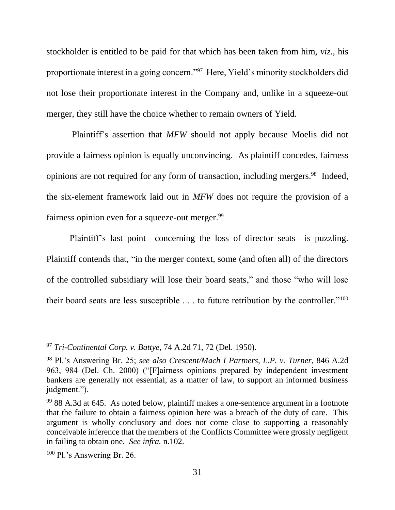stockholder is entitled to be paid for that which has been taken from him, *viz.*, his proportionate interest in a going concern."<sup>97</sup> Here, Yield's minority stockholders did not lose their proportionate interest in the Company and, unlike in a squeeze-out merger, they still have the choice whether to remain owners of Yield.

Plaintiff's assertion that *MFW* should not apply because Moelis did not provide a fairness opinion is equally unconvincing. As plaintiff concedes, fairness opinions are not required for any form of transaction, including mergers. 98 Indeed, the six-element framework laid out in *MFW* does not require the provision of a fairness opinion even for a squeeze-out merger.<sup>99</sup>

Plaintiff's last point—concerning the loss of director seats—is puzzling. Plaintiff contends that, "in the merger context, some (and often all) of the directors of the controlled subsidiary will lose their board seats," and those "who will lose their board seats are less susceptible  $\dots$  to future retribution by the controller."<sup>100</sup>

<sup>97</sup> *Tri-Continental Corp. v. Battye*, 74 A.2d 71, 72 (Del. 1950).

<sup>98</sup> Pl.'s Answering Br. 25; *see also Crescent/Mach I Partners, L.P. v. Turner*, 846 A.2d 963, 984 (Del. Ch. 2000) ("[F]airness opinions prepared by independent investment bankers are generally not essential, as a matter of law, to support an informed business judgment.").

 $99$  88 A.3d at 645. As noted below, plaintiff makes a one-sentence argument in a footnote that the failure to obtain a fairness opinion here was a breach of the duty of care. This argument is wholly conclusory and does not come close to supporting a reasonably conceivable inference that the members of the Conflicts Committee were grossly negligent in failing to obtain one. *See infra.* n[.102.](#page-33-0)

<sup>100</sup> Pl.'s Answering Br. 26.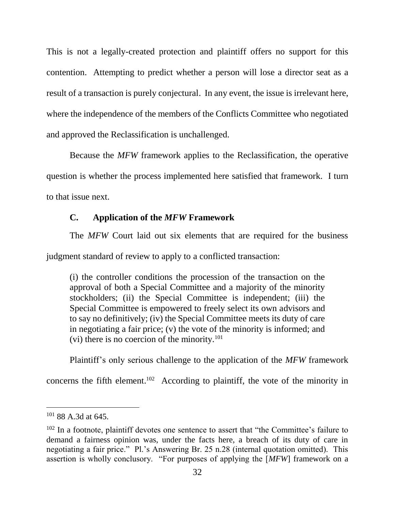This is not a legally-created protection and plaintiff offers no support for this contention. Attempting to predict whether a person will lose a director seat as a result of a transaction is purely conjectural. In any event, the issue is irrelevant here, where the independence of the members of the Conflicts Committee who negotiated and approved the Reclassification is unchallenged.

Because the *MFW* framework applies to the Reclassification, the operative question is whether the process implemented here satisfied that framework. I turn to that issue next.

# **C. Application of the** *MFW* **Framework**

The *MFW* Court laid out six elements that are required for the business

judgment standard of review to apply to a conflicted transaction:

(i) the controller conditions the procession of the transaction on the approval of both a Special Committee and a majority of the minority stockholders; (ii) the Special Committee is independent; (iii) the Special Committee is empowered to freely select its own advisors and to say no definitively; (iv) the Special Committee meets its duty of care in negotiating a fair price; (v) the vote of the minority is informed; and (vi) there is no coercion of the minority.<sup>101</sup>

<span id="page-33-0"></span>Plaintiff's only serious challenge to the application of the *MFW* framework

concerns the fifth element. 102 According to plaintiff, the vote of the minority in

<sup>101</sup> 88 A.3d at 645.

 $102$  In a footnote, plaintiff devotes one sentence to assert that "the Committee's failure to demand a fairness opinion was, under the facts here, a breach of its duty of care in negotiating a fair price." Pl.'s Answering Br. 25 n.28 (internal quotation omitted). This assertion is wholly conclusory. "For purposes of applying the [*MFW*] framework on a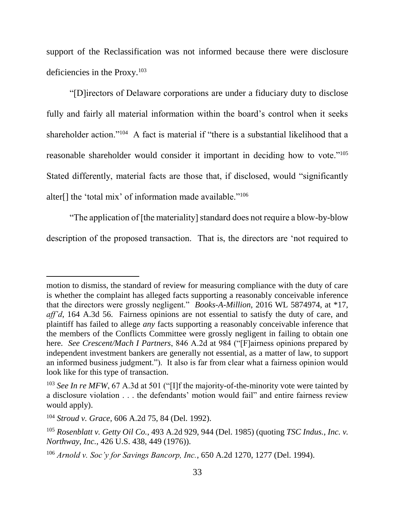support of the Reclassification was not informed because there were disclosure deficiencies in the Proxy.<sup>103</sup>

"[D]irectors of Delaware corporations are under a fiduciary duty to disclose fully and fairly all material information within the board's control when it seeks shareholder action."<sup>104</sup> A fact is material if "there is a substantial likelihood that a reasonable shareholder would consider it important in deciding how to vote."<sup>105</sup> Stated differently, material facts are those that, if disclosed, would "significantly alter[] the 'total mix' of information made available."<sup>106</sup>

"The application of [the materiality] standard does not require a blow-by-blow description of the proposed transaction. That is, the directors are 'not required to

motion to dismiss, the standard of review for measuring compliance with the duty of care is whether the complaint has alleged facts supporting a reasonably conceivable inference that the directors were grossly negligent." *Books-A-Million*, 2016 WL 5874974, at \*17, *aff'd*, 164 A.3d 56. Fairness opinions are not essential to satisfy the duty of care, and plaintiff has failed to allege *any* facts supporting a reasonably conceivable inference that the members of the Conflicts Committee were grossly negligent in failing to obtain one here. *See Crescent/Mach I Partners*, 846 A.2d at 984 ("[F]airness opinions prepared by independent investment bankers are generally not essential, as a matter of law, to support an informed business judgment."). It also is far from clear what a fairness opinion would look like for this type of transaction.

<sup>&</sup>lt;sup>103</sup> *See In re MFW*, 67 A.3d at 501 ("[I]f the majority-of-the-minority vote were tainted by a disclosure violation . . . the defendants' motion would fail" and entire fairness review would apply).

<sup>104</sup> *Stroud v. Grace*, 606 A.2d 75, 84 (Del. 1992).

<sup>105</sup> *Rosenblatt v. Getty Oil Co.*, 493 A.2d 929, 944 (Del. 1985) (quoting *TSC Indus., Inc. v. Northway, Inc.*, 426 U.S. 438, 449 (1976)).

<sup>106</sup> *Arnold v. Soc'y for Savings Bancorp, Inc.*, 650 A.2d 1270, 1277 (Del. 1994).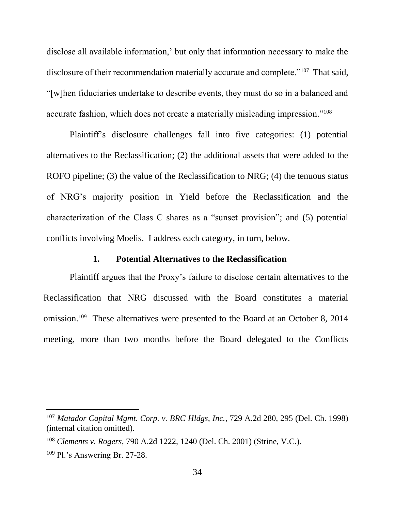disclose all available information,' but only that information necessary to make the disclosure of their recommendation materially accurate and complete."<sup>107</sup> That said, "[w]hen fiduciaries undertake to describe events, they must do so in a balanced and accurate fashion, which does not create a materially misleading impression."<sup>108</sup>

Plaintiff's disclosure challenges fall into five categories: (1) potential alternatives to the Reclassification; (2) the additional assets that were added to the ROFO pipeline; (3) the value of the Reclassification to NRG; (4) the tenuous status of NRG's majority position in Yield before the Reclassification and the characterization of the Class C shares as a "sunset provision"; and (5) potential conflicts involving Moelis. I address each category, in turn, below.

### **1. Potential Alternatives to the Reclassification**

Plaintiff argues that the Proxy's failure to disclose certain alternatives to the Reclassification that NRG discussed with the Board constitutes a material omission.<sup>109</sup> These alternatives were presented to the Board at an October 8, 2014 meeting, more than two months before the Board delegated to the Conflicts

<sup>107</sup> *Matador Capital Mgmt. Corp. v. BRC Hldgs, Inc.*, 729 A.2d 280, 295 (Del. Ch. 1998) (internal citation omitted).

<sup>108</sup> *Clements v. Rogers*, 790 A.2d 1222, 1240 (Del. Ch. 2001) (Strine, V.C.).

<sup>109</sup> Pl.'s Answering Br. 27-28.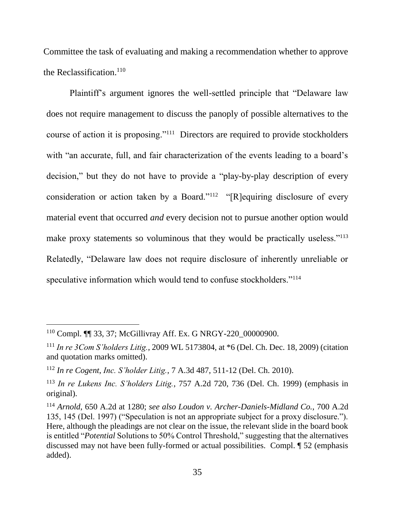Committee the task of evaluating and making a recommendation whether to approve the Reclassification. 110

Plaintiff's argument ignores the well-settled principle that "Delaware law does not require management to discuss the panoply of possible alternatives to the course of action it is proposing."<sup>111</sup> Directors are required to provide stockholders with "an accurate, full, and fair characterization of the events leading to a board's decision," but they do not have to provide a "play-by-play description of every consideration or action taken by a Board."<sup>112</sup> "[R]equiring disclosure of every material event that occurred *and* every decision not to pursue another option would make proxy statements so voluminous that they would be practically useless."<sup>113</sup> Relatedly, "Delaware law does not require disclosure of inherently unreliable or speculative information which would tend to confuse stockholders."<sup>114</sup>

<sup>110</sup> Compl. ¶¶ 33, 37; McGillivray Aff. Ex. G NRGY-220\_00000900.

<sup>111</sup> *In re 3Com S'holders Litig.*, 2009 WL 5173804, at \*6 (Del. Ch. Dec. 18, 2009) (citation and quotation marks omitted).

<sup>112</sup> *In re Cogent*, *Inc. S'holder Litig.*, 7 A.3d 487, 511-12 (Del. Ch. 2010).

<sup>113</sup> *In re Lukens Inc. S'holders Litig.*, 757 A.2d 720, 736 (Del. Ch. 1999) (emphasis in original).

<sup>114</sup> *Arnold*, 650 A.2d at 1280; *see also Loudon v. Archer-Daniels-Midland Co.*, 700 A.2d 135, 145 (Del. 1997) ("Speculation is not an appropriate subject for a proxy disclosure."). Here, although the pleadings are not clear on the issue, the relevant slide in the board book is entitled "*Potential* Solutions to 50% Control Threshold," suggesting that the alternatives discussed may not have been fully-formed or actual possibilities. Compl. ¶ 52 (emphasis added).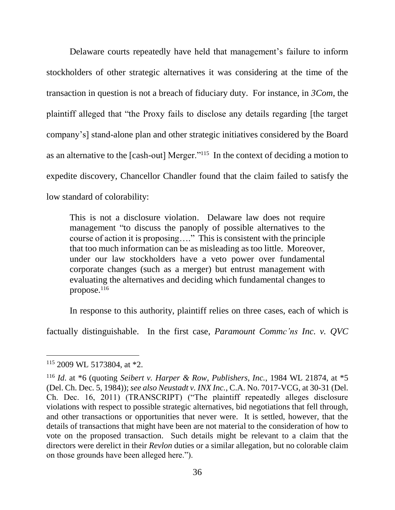Delaware courts repeatedly have held that management's failure to inform stockholders of other strategic alternatives it was considering at the time of the transaction in question is not a breach of fiduciary duty. For instance, in *3Com*, the plaintiff alleged that "the Proxy fails to disclose any details regarding [the target company's] stand-alone plan and other strategic initiatives considered by the Board as an alternative to the [cash-out] Merger."<sup>115</sup> In the context of deciding a motion to expedite discovery, Chancellor Chandler found that the claim failed to satisfy the low standard of colorability:

This is not a disclosure violation. Delaware law does not require management "to discuss the panoply of possible alternatives to the course of action it is proposing…." This is consistent with the principle that too much information can be as misleading as too little. Moreover, under our law stockholders have a veto power over fundamental corporate changes (such as a merger) but entrust management with evaluating the alternatives and deciding which fundamental changes to propose. $^{116}$ 

In response to this authority, plaintiff relies on three cases, each of which is

factually distinguishable. In the first case, *Paramount Commc'ns Inc. v. QVC* 

<sup>115</sup> 2009 WL 5173804, at \*2.

<sup>116</sup> *Id*. at \*6 (quoting *Seibert v. Harper & Row, Publishers, Inc.*, 1984 WL 21874, at \*5 (Del. Ch. Dec. 5, 1984)); *see also Neustadt v. INX Inc.*, C.A. No. 7017-VCG, at 30-31 (Del. Ch. Dec. 16, 2011) (TRANSCRIPT) ("The plaintiff repeatedly alleges disclosure violations with respect to possible strategic alternatives, bid negotiations that fell through, and other transactions or opportunities that never were. It is settled, however, that the details of transactions that might have been are not material to the consideration of how to vote on the proposed transaction. Such details might be relevant to a claim that the directors were derelict in their *Revlon* duties or a similar allegation, but no colorable claim on those grounds have been alleged here.").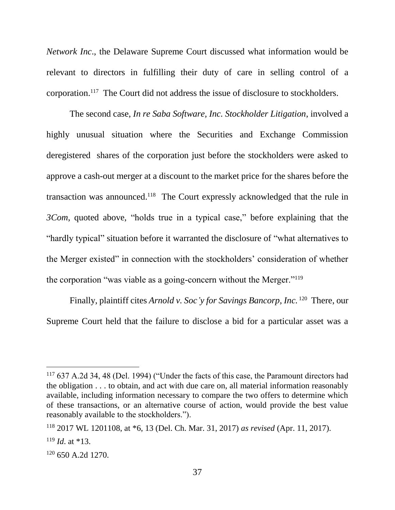*Network Inc*., the Delaware Supreme Court discussed what information would be relevant to directors in fulfilling their duty of care in selling control of a corporation.<sup>117</sup> The Court did not address the issue of disclosure to stockholders.

The second case, *In re Saba Software, Inc. Stockholder Litigation*, involved a highly unusual situation where the Securities and Exchange Commission deregistered shares of the corporation just before the stockholders were asked to approve a cash-out merger at a discount to the market price for the shares before the transaction was announced.<sup>118</sup> The Court expressly acknowledged that the rule in *3Com*, quoted above, "holds true in a typical case," before explaining that the "hardly typical" situation before it warranted the disclosure of "what alternatives to the Merger existed" in connection with the stockholders' consideration of whether the corporation "was viable as a going-concern without the Merger."<sup>119</sup>

Finally, plaintiff cites *Arnold v. Soc'y for Savings Bancorp, Inc.* <sup>120</sup> There, our Supreme Court held that the failure to disclose a bid for a particular asset was a

<sup>&</sup>lt;sup>117</sup> 637 A.2d 34, 48 (Del. 1994) ("Under the facts of this case, the Paramount directors had the obligation . . . to obtain, and act with due care on, all material information reasonably available, including information necessary to compare the two offers to determine which of these transactions, or an alternative course of action, would provide the best value reasonably available to the stockholders.").

<sup>118</sup> 2017 WL 1201108, at \*6, 13 (Del. Ch. Mar. 31, 2017) *as revised* (Apr. 11, 2017).

<sup>119</sup> *Id*. at \*13.

 $120$  650 A.2d 1270.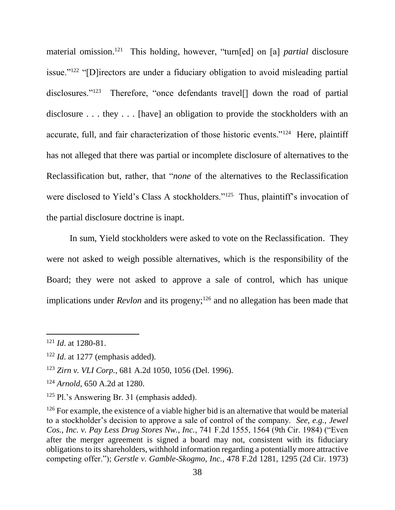material omission.<sup>121</sup> This holding, however, "turn[ed] on [a] *partial* disclosure issue."<sup>122</sup> "[D]irectors are under a fiduciary obligation to avoid misleading partial disclosures."<sup>123</sup> Therefore, "once defendants travel[] down the road of partial disclosure . . . they . . . [have] an obligation to provide the stockholders with an accurate, full, and fair characterization of those historic events."<sup>124</sup> Here, plaintiff has not alleged that there was partial or incomplete disclosure of alternatives to the Reclassification but, rather, that "*none* of the alternatives to the Reclassification were disclosed to Yield's Class A stockholders."<sup>125</sup> Thus, plaintiff's invocation of the partial disclosure doctrine is inapt.

In sum, Yield stockholders were asked to vote on the Reclassification. They were not asked to weigh possible alternatives, which is the responsibility of the Board; they were not asked to approve a sale of control, which has unique implications under *Revlon* and its progeny;<sup>126</sup> and no allegation has been made that

<sup>121</sup> *Id*. at 1280-81.

<sup>122</sup> *Id*. at 1277 (emphasis added).

<sup>123</sup> *Zirn v. VLI Corp.*, 681 A.2d 1050, 1056 (Del. 1996).

<sup>124</sup> *Arnold*, 650 A.2d at 1280.

<sup>125</sup> Pl.'s Answering Br. 31 (emphasis added).

 $126$  For example, the existence of a viable higher bid is an alternative that would be material to a stockholder's decision to approve a sale of control of the company. *See, e.g.*, *Jewel Cos., Inc. v. Pay Less Drug Stores Nw., Inc.*, 741 F.2d 1555, 1564 (9th Cir. 1984) ("Even after the merger agreement is signed a board may not, consistent with its fiduciary obligations to its shareholders, withhold information regarding a potentially more attractive competing offer."); *Gerstle v. Gamble-Skogmo, Inc.*, 478 F.2d 1281, 1295 (2d Cir. 1973)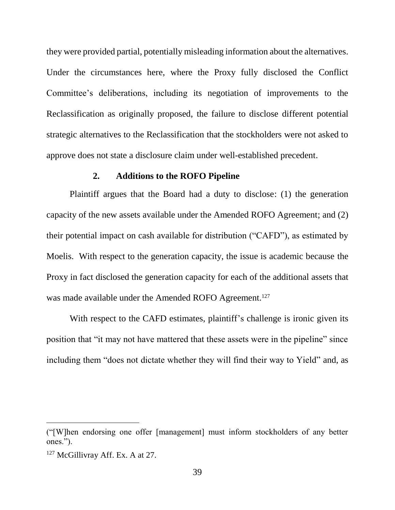they were provided partial, potentially misleading information about the alternatives. Under the circumstances here, where the Proxy fully disclosed the Conflict Committee's deliberations, including its negotiation of improvements to the Reclassification as originally proposed, the failure to disclose different potential strategic alternatives to the Reclassification that the stockholders were not asked to approve does not state a disclosure claim under well-established precedent.

## **2. Additions to the ROFO Pipeline**

Plaintiff argues that the Board had a duty to disclose: (1) the generation capacity of the new assets available under the Amended ROFO Agreement; and (2) their potential impact on cash available for distribution ("CAFD"), as estimated by Moelis. With respect to the generation capacity, the issue is academic because the Proxy in fact disclosed the generation capacity for each of the additional assets that was made available under the Amended ROFO Agreement.<sup>127</sup>

With respect to the CAFD estimates, plaintiff's challenge is ironic given its position that "it may not have mattered that these assets were in the pipeline" since including them "does not dictate whether they will find their way to Yield" and, as

<sup>(&</sup>quot;[W]hen endorsing one offer [management] must inform stockholders of any better ones.").

<sup>&</sup>lt;sup>127</sup> McGillivray Aff. Ex. A at 27.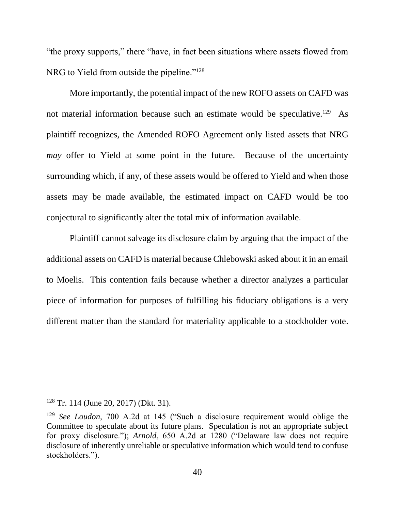"the proxy supports," there "have, in fact been situations where assets flowed from NRG to Yield from outside the pipeline."<sup>128</sup>

More importantly, the potential impact of the new ROFO assets on CAFD was not material information because such an estimate would be speculative.<sup>129</sup> As plaintiff recognizes, the Amended ROFO Agreement only listed assets that NRG *may* offer to Yield at some point in the future. Because of the uncertainty surrounding which, if any, of these assets would be offered to Yield and when those assets may be made available, the estimated impact on CAFD would be too conjectural to significantly alter the total mix of information available.

Plaintiff cannot salvage its disclosure claim by arguing that the impact of the additional assets on CAFD is material because Chlebowski asked about it in an email to Moelis. This contention fails because whether a director analyzes a particular piece of information for purposes of fulfilling his fiduciary obligations is a very different matter than the standard for materiality applicable to a stockholder vote.

<sup>128</sup> Tr. 114 (June 20, 2017) (Dkt. 31).

<sup>129</sup> *See Loudon*, 700 A.2d at 145 ("Such a disclosure requirement would oblige the Committee to speculate about its future plans. Speculation is not an appropriate subject for proxy disclosure."); *Arnold*, 650 A.2d at 1280 ("Delaware law does not require disclosure of inherently unreliable or speculative information which would tend to confuse stockholders.").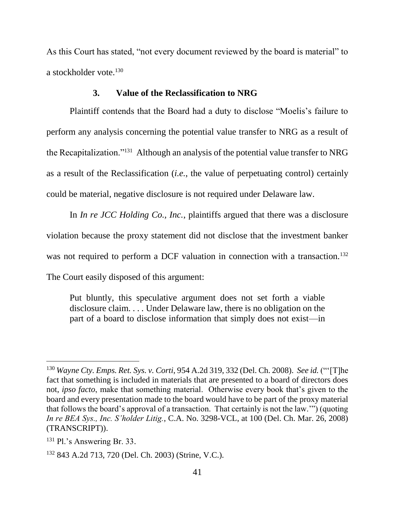As this Court has stated, "not every document reviewed by the board is material" to a stockholder vote.<sup>130</sup>

## **3. Value of the Reclassification to NRG**

Plaintiff contends that the Board had a duty to disclose "Moelis's failure to perform any analysis concerning the potential value transfer to NRG as a result of the Recapitalization."<sup>131</sup> Although an analysis of the potential value transfer to NRG as a result of the Reclassification (*i.e.*, the value of perpetuating control) certainly could be material, negative disclosure is not required under Delaware law.

In *In re JCC Holding Co., Inc.*, plaintiffs argued that there was a disclosure violation because the proxy statement did not disclose that the investment banker was not required to perform a DCF valuation in connection with a transaction.<sup>132</sup> The Court easily disposed of this argument:

Put bluntly, this speculative argument does not set forth a viable disclosure claim. . . . Under Delaware law, there is no obligation on the part of a board to disclose information that simply does not exist—in

<sup>130</sup> *Wayne Cty. Emps. Ret. Sys. v. Corti*, 954 A.2d 319, 332 (Del. Ch. 2008). *See id.* ("'[T]he fact that something is included in materials that are presented to a board of directors does not, *ipso facto*, make that something material. Otherwise every book that's given to the board and every presentation made to the board would have to be part of the proxy material that follows the board's approval of a transaction. That certainly is not the law.'") (quoting *In re BEA Sys., Inc. S'holder Litig.*, C.A. No. 3298-VCL, at 100 (Del. Ch. Mar. 26, 2008) (TRANSCRIPT)).

<sup>131</sup> Pl.'s Answering Br. 33.

<sup>132</sup> 843 A.2d 713, 720 (Del. Ch. 2003) (Strine, V.C.).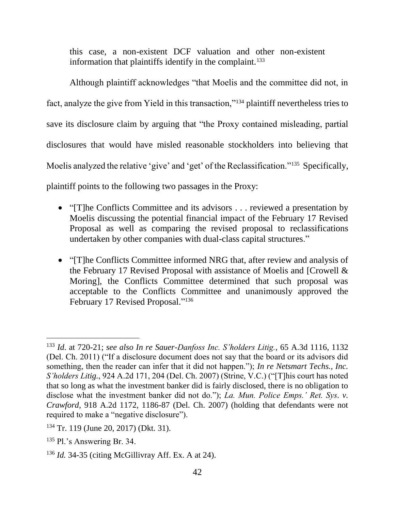this case, a non-existent DCF valuation and other non-existent information that plaintiffs identify in the complaint.<sup>133</sup>

Although plaintiff acknowledges "that Moelis and the committee did not, in fact, analyze the give from Yield in this transaction,"<sup>134</sup> plaintiff nevertheless tries to save its disclosure claim by arguing that "the Proxy contained misleading, partial disclosures that would have misled reasonable stockholders into believing that Moelis analyzed the relative 'give' and 'get' of the Reclassification."<sup>135</sup> Specifically, plaintiff points to the following two passages in the Proxy:

- "[T]he Conflicts Committee and its advisors . . . reviewed a presentation by Moelis discussing the potential financial impact of the February 17 Revised Proposal as well as comparing the revised proposal to reclassifications undertaken by other companies with dual-class capital structures."
- "[T]he Conflicts Committee informed NRG that, after review and analysis of the February 17 Revised Proposal with assistance of Moelis and [Crowell & Moring], the Conflicts Committee determined that such proposal was acceptable to the Conflicts Committee and unanimously approved the February 17 Revised Proposal."<sup>136</sup>

<sup>133</sup> *Id*. at 720-21; *see also In re Sauer-Danfoss Inc. S'holders Litig.*, 65 A.3d 1116, 1132 (Del. Ch. 2011) ("If a disclosure document does not say that the board or its advisors did something, then the reader can infer that it did not happen."); *In re Netsmart Techs., Inc. S'holders Litig.*, 924 A.2d 171, 204 (Del. Ch. 2007) (Strine, V.C.) ("[T]his court has noted that so long as what the investment banker did is fairly disclosed, there is no obligation to disclose what the investment banker did not do."); *La. Mun. Police Emps.' Ret. Sys. v. Crawford*, 918 A.2d 1172, 1186-87 (Del. Ch. 2007) (holding that defendants were not required to make a "negative disclosure").

<sup>134</sup> Tr. 119 (June 20, 2017) (Dkt. 31).

<sup>135</sup> Pl.'s Answering Br. 34.

<sup>136</sup> *Id.* 34-35 (citing McGillivray Aff. Ex. A at 24).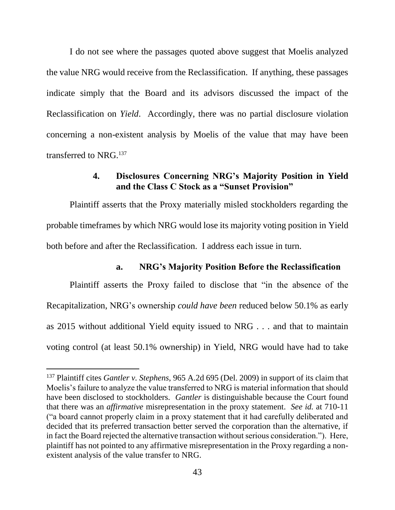I do not see where the passages quoted above suggest that Moelis analyzed the value NRG would receive from the Reclassification. If anything, these passages indicate simply that the Board and its advisors discussed the impact of the Reclassification on *Yield*. Accordingly, there was no partial disclosure violation concerning a non-existent analysis by Moelis of the value that may have been transferred to NRG.<sup>137</sup>

## **4. Disclosures Concerning NRG's Majority Position in Yield and the Class C Stock as a "Sunset Provision"**

Plaintiff asserts that the Proxy materially misled stockholders regarding the probable timeframes by which NRG would lose its majority voting position in Yield both before and after the Reclassification. I address each issue in turn.

## **a. NRG's Majority Position Before the Reclassification**

Plaintiff asserts the Proxy failed to disclose that "in the absence of the Recapitalization, NRG's ownership *could have been* reduced below 50.1% as early as 2015 without additional Yield equity issued to NRG . . . and that to maintain voting control (at least 50.1% ownership) in Yield, NRG would have had to take

<sup>137</sup> Plaintiff cites *Gantler v. Stephens*, 965 A.2d 695 (Del. 2009) in support of its claim that Moelis's failure to analyze the value transferred to NRG is material information that should have been disclosed to stockholders. *Gantler* is distinguishable because the Court found that there was an *affirmative* misrepresentation in the proxy statement. *See id.* at 710-11 ("a board cannot properly claim in a proxy statement that it had carefully deliberated and decided that its preferred transaction better served the corporation than the alternative, if in fact the Board rejected the alternative transaction without serious consideration."). Here, plaintiff has not pointed to any affirmative misrepresentation in the Proxy regarding a nonexistent analysis of the value transfer to NRG.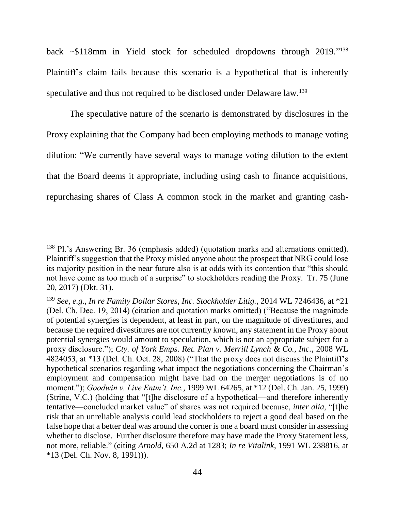back ~\$118mm in Yield stock for scheduled dropdowns through 2019." 138 Plaintiff's claim fails because this scenario is a hypothetical that is inherently speculative and thus not required to be disclosed under Delaware law.<sup>139</sup>

The speculative nature of the scenario is demonstrated by disclosures in the Proxy explaining that the Company had been employing methods to manage voting dilution: "We currently have several ways to manage voting dilution to the extent that the Board deems it appropriate, including using cash to finance acquisitions, repurchasing shares of Class A common stock in the market and granting cash-

<sup>138</sup> Pl.'s Answering Br. 36 (emphasis added) (quotation marks and alternations omitted). Plaintiff's suggestion that the Proxy misled anyone about the prospect that NRG could lose its majority position in the near future also is at odds with its contention that "this should not have come as too much of a surprise" to stockholders reading the Proxy. Tr. 75 (June 20, 2017) (Dkt. 31).

<sup>139</sup> *See, e.g.*, *In re Family Dollar Stores, Inc. Stockholder Litig.*, 2014 WL 7246436, at \*21 (Del. Ch. Dec. 19, 2014) (citation and quotation marks omitted) ("Because the magnitude of potential synergies is dependent, at least in part, on the magnitude of divestitures, and because the required divestitures are not currently known, any statement in the Proxy about potential synergies would amount to speculation, which is not an appropriate subject for a proxy disclosure."); *Cty. of York Emps. Ret. Plan v. Merrill Lynch & Co., Inc.*, 2008 WL 4824053, at \*13 (Del. Ch. Oct. 28, 2008) ("That the proxy does not discuss the Plaintiff's hypothetical scenarios regarding what impact the negotiations concerning the Chairman's employment and compensation might have had on the merger negotiations is of no moment."); *Goodwin v. Live Entm't, Inc.*, 1999 WL 64265, at \*12 (Del. Ch. Jan. 25, 1999) (Strine, V.C.) (holding that "[t]he disclosure of a hypothetical—and therefore inherently tentative—concluded market value" of shares was not required because, *inter alia*, "[t]he risk that an unreliable analysis could lead stockholders to reject a good deal based on the false hope that a better deal was around the corner is one a board must consider in assessing whether to disclose. Further disclosure therefore may have made the Proxy Statement less, not more, reliable." (citing *Arnold*, 650 A.2d at 1283; *In re Vitalink*, 1991 WL 238816, at \*13 (Del. Ch. Nov. 8, 1991))).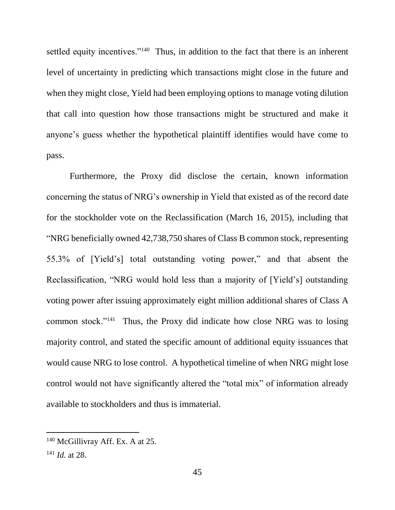settled equity incentives."<sup>140</sup> Thus, in addition to the fact that there is an inherent level of uncertainty in predicting which transactions might close in the future and when they might close, Yield had been employing options to manage voting dilution that call into question how those transactions might be structured and make it anyone's guess whether the hypothetical plaintiff identifies would have come to pass.

Furthermore, the Proxy did disclose the certain, known information concerning the status of NRG's ownership in Yield that existed as of the record date for the stockholder vote on the Reclassification (March 16, 2015), including that "NRG beneficially owned 42,738,750 shares of Class B common stock, representing 55.3% of [Yield's] total outstanding voting power," and that absent the Reclassification, "NRG would hold less than a majority of [Yield's] outstanding voting power after issuing approximately eight million additional shares of Class A common stock."<sup>141</sup> Thus, the Proxy did indicate how close NRG was to losing majority control, and stated the specific amount of additional equity issuances that would cause NRG to lose control. A hypothetical timeline of when NRG might lose control would not have significantly altered the "total mix" of information already available to stockholders and thus is immaterial.

<sup>140</sup> McGillivray Aff. Ex. A at 25.

<sup>141</sup> *Id.* at 28.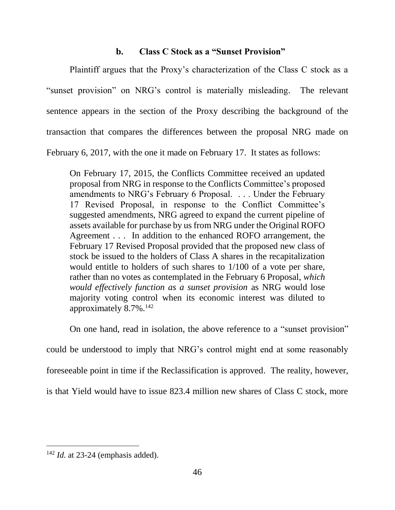## **b. Class C Stock as a "Sunset Provision"**

Plaintiff argues that the Proxy's characterization of the Class C stock as a "sunset provision" on NRG's control is materially misleading. The relevant sentence appears in the section of the Proxy describing the background of the transaction that compares the differences between the proposal NRG made on February 6, 2017, with the one it made on February 17. It states as follows:

On February 17, 2015, the Conflicts Committee received an updated proposal from NRG in response to the Conflicts Committee's proposed amendments to NRG's February 6 Proposal. . . . Under the February 17 Revised Proposal, in response to the Conflict Committee's suggested amendments, NRG agreed to expand the current pipeline of assets available for purchase by us from NRG under the Original ROFO Agreement . . . In addition to the enhanced ROFO arrangement, the February 17 Revised Proposal provided that the proposed new class of stock be issued to the holders of Class A shares in the recapitalization would entitle to holders of such shares to 1/100 of a vote per share, rather than no votes as contemplated in the February 6 Proposal, *which would effectively function as a sunset provision* as NRG would lose majority voting control when its economic interest was diluted to approximately 8.7%.<sup>142</sup>

On one hand, read in isolation, the above reference to a "sunset provision"

could be understood to imply that NRG's control might end at some reasonably

foreseeable point in time if the Reclassification is approved. The reality, however,

is that Yield would have to issue 823.4 million new shares of Class C stock, more

<sup>142</sup> *Id.* at 23-24 (emphasis added).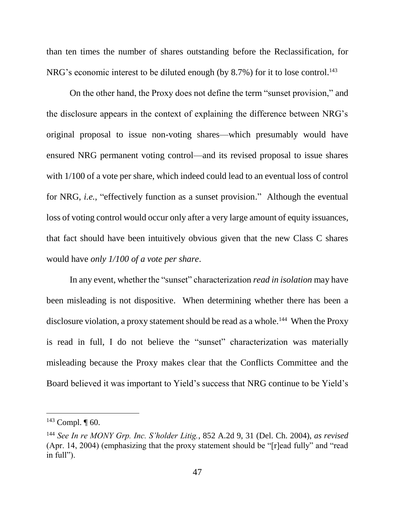than ten times the number of shares outstanding before the Reclassification, for NRG's economic interest to be diluted enough (by 8.7%) for it to lose control.<sup>143</sup>

On the other hand, the Proxy does not define the term "sunset provision," and the disclosure appears in the context of explaining the difference between NRG's original proposal to issue non-voting shares—which presumably would have ensured NRG permanent voting control—and its revised proposal to issue shares with 1/100 of a vote per share, which indeed could lead to an eventual loss of control for NRG, *i.e.*, "effectively function as a sunset provision." Although the eventual loss of voting control would occur only after a very large amount of equity issuances, that fact should have been intuitively obvious given that the new Class C shares would have *only 1/100 of a vote per share*.

In any event, whether the "sunset" characterization *read in isolation* may have been misleading is not dispositive. When determining whether there has been a disclosure violation, a proxy statement should be read as a whole.<sup>144</sup> When the Proxy is read in full, I do not believe the "sunset" characterization was materially misleading because the Proxy makes clear that the Conflicts Committee and the Board believed it was important to Yield's success that NRG continue to be Yield's

 $143$  Compl.  $\P$  60.

<sup>144</sup> *See In re MONY Grp. Inc. S'holder Litig.*, 852 A.2d 9, 31 (Del. Ch. 2004), *as revised*  (Apr. 14, 2004) (emphasizing that the proxy statement should be "[r]ead fully" and "read in full").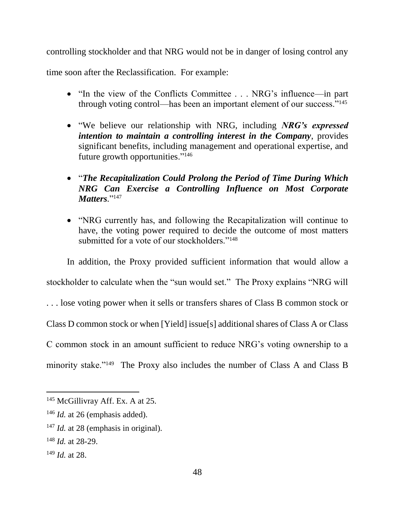controlling stockholder and that NRG would not be in danger of losing control any

time soon after the Reclassification. For example:

- "In the view of the Conflicts Committee . . . NRG's influence—in part through voting control—has been an important element of our success."<sup>145</sup>
- "We believe our relationship with NRG, including *NRG's expressed intention to maintain a controlling interest in the Company*, provides significant benefits, including management and operational expertise, and future growth opportunities."<sup>146</sup>
- "*The Recapitalization Could Prolong the Period of Time During Which NRG Can Exercise a Controlling Influence on Most Corporate Matters.*"<sup>147</sup>
- "NRG currently has, and following the Recapitalization will continue to have, the voting power required to decide the outcome of most matters submitted for a vote of our stockholders."<sup>148</sup>

In addition, the Proxy provided sufficient information that would allow a stockholder to calculate when the "sun would set." The Proxy explains "NRG will . . . lose voting power when it sells or transfers shares of Class B common stock or Class D common stock or when [Yield] issue[s] additional shares of Class A or Class C common stock in an amount sufficient to reduce NRG's voting ownership to a minority stake."<sup>149</sup> The Proxy also includes the number of Class A and Class B

<sup>&</sup>lt;sup>145</sup> McGillivray Aff. Ex. A at 25.

<sup>&</sup>lt;sup>146</sup> *Id.* at 26 (emphasis added).

<sup>&</sup>lt;sup>147</sup> *Id.* at 28 (emphasis in original).

<sup>148</sup> *Id.* at 28-29.

<sup>149</sup> *Id.* at 28.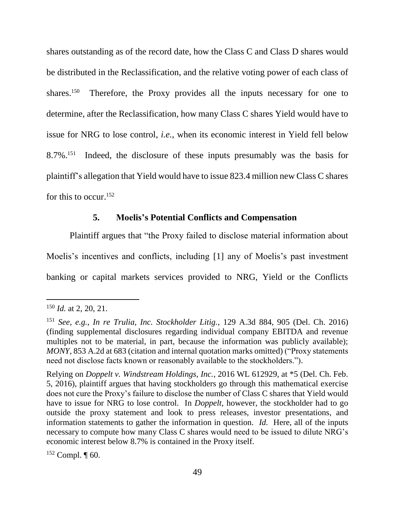shares outstanding as of the record date, how the Class C and Class D shares would be distributed in the Reclassification, and the relative voting power of each class of shares.<sup>150</sup> Therefore, the Proxy provides all the inputs necessary for one to determine, after the Reclassification, how many Class C shares Yield would have to issue for NRG to lose control, *i.e.*, when its economic interest in Yield fell below  $8.7\%$ <sup>151</sup> Indeed, the disclosure of these inputs presumably was the basis for plaintiff's allegation that Yield would have to issue 823.4 million new Class C shares for this to occur.<sup>152</sup>

## **5. Moelis's Potential Conflicts and Compensation**

Plaintiff argues that "the Proxy failed to disclose material information about Moelis's incentives and conflicts, including [1] any of Moelis's past investment banking or capital markets services provided to NRG, Yield or the Conflicts

 $\overline{a}$ 

 $152$  Compl.  $\P$  60.

<sup>150</sup> *Id.* at 2, 20, 21.

<sup>151</sup> *See, e.g.*, *In re Trulia, Inc. Stockholder Litig.*, 129 A.3d 884, 905 (Del. Ch. 2016) (finding supplemental disclosures regarding individual company EBITDA and revenue multiples not to be material, in part, because the information was publicly available); *MONY*, 853 A.2d at 683 (citation and internal quotation marks omitted) ("Proxy statements need not disclose facts known or reasonably available to the stockholders.").

Relying on *Doppelt v. Windstream Holdings, Inc.*, 2016 WL 612929, at \*5 (Del. Ch. Feb. 5, 2016), plaintiff argues that having stockholders go through this mathematical exercise does not cure the Proxy's failure to disclose the number of Class C shares that Yield would have to issue for NRG to lose control. In *Doppelt*, however, the stockholder had to go outside the proxy statement and look to press releases, investor presentations, and information statements to gather the information in question. *Id.* Here, all of the inputs necessary to compute how many Class C shares would need to be issued to dilute NRG's economic interest below 8.7% is contained in the Proxy itself.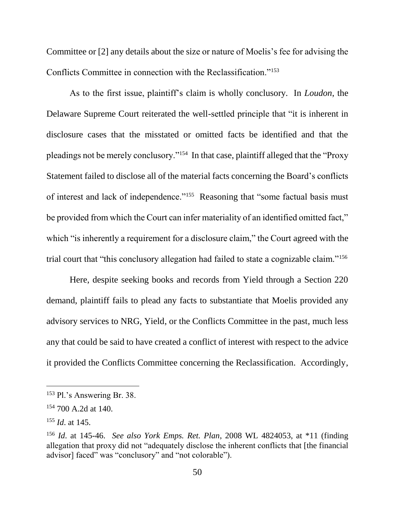Committee or [2] any details about the size or nature of Moelis's fee for advising the Conflicts Committee in connection with the Reclassification."<sup>153</sup>

As to the first issue, plaintiff's claim is wholly conclusory. In *Loudon*, the Delaware Supreme Court reiterated the well-settled principle that "it is inherent in disclosure cases that the misstated or omitted facts be identified and that the pleadings not be merely conclusory."<sup>154</sup> In that case, plaintiff alleged that the "Proxy Statement failed to disclose all of the material facts concerning the Board's conflicts of interest and lack of independence."<sup>155</sup> Reasoning that "some factual basis must be provided from which the Court can infer materiality of an identified omitted fact," which "is inherently a requirement for a disclosure claim," the Court agreed with the trial court that "this conclusory allegation had failed to state a cognizable claim."<sup>156</sup>

Here, despite seeking books and records from Yield through a Section 220 demand, plaintiff fails to plead any facts to substantiate that Moelis provided any advisory services to NRG, Yield, or the Conflicts Committee in the past, much less any that could be said to have created a conflict of interest with respect to the advice it provided the Conflicts Committee concerning the Reclassification. Accordingly,

<sup>153</sup> Pl.'s Answering Br. 38.

<sup>154</sup> 700 A.2d at 140.

<sup>155</sup> *Id*. at 145.

<sup>156</sup> *Id*. at 145-46. *See also York Emps. Ret. Plan*, 2008 WL 4824053, at \*11 (finding allegation that proxy did not "adequately disclose the inherent conflicts that [the financial advisor] faced" was "conclusory" and "not colorable").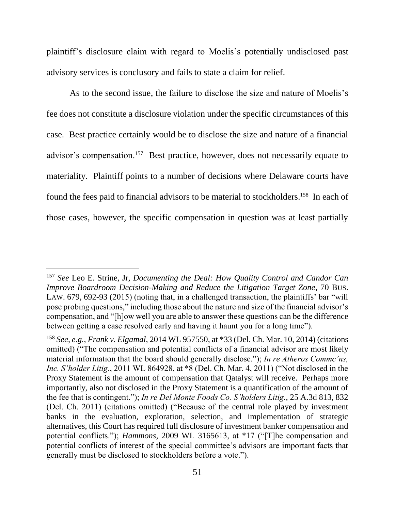plaintiff's disclosure claim with regard to Moelis's potentially undisclosed past advisory services is conclusory and fails to state a claim for relief.

As to the second issue, the failure to disclose the size and nature of Moelis's fee does not constitute a disclosure violation under the specific circumstances of this case*.* Best practice certainly would be to disclose the size and nature of a financial advisor's compensation.<sup>157</sup> Best practice, however, does not necessarily equate to materiality. Plaintiff points to a number of decisions where Delaware courts have found the fees paid to financial advisors to be material to stockholders.<sup>158</sup> In each of those cases, however, the specific compensation in question was at least partially

<sup>157</sup> *See* Leo E. Strine, Jr, *Documenting the Deal: How Quality Control and Candor Can Improve Boardroom Decision-Making and Reduce the Litigation Target Zone*, 70 BUS. LAW. 679, 692-93 (2015) (noting that, in a challenged transaction, the plaintiffs' bar "will pose probing questions," including those about the nature and size of the financial advisor's compensation, and "[h]ow well you are able to answer these questions can be the difference between getting a case resolved early and having it haunt you for a long time").

<sup>158</sup> *See, e.g.*, *Frank v. Elgamal*, 2014 WL 957550, at \*33 (Del. Ch. Mar. 10, 2014) (citations omitted) ("The compensation and potential conflicts of a financial advisor are most likely material information that the board should generally disclose."); *In re Atheros Commc'ns, Inc. S'holder Litig.*, 2011 WL 864928, at \*8 (Del. Ch. Mar. 4, 2011) ("Not disclosed in the Proxy Statement is the amount of compensation that Qatalyst will receive. Perhaps more importantly, also not disclosed in the Proxy Statement is a quantification of the amount of the fee that is contingent."); *In re Del Monte Foods Co. S'holders Litig.*, 25 A.3d 813, 832 (Del. Ch. 2011) (citations omitted) ("Because of the central role played by investment banks in the evaluation, exploration, selection, and implementation of strategic alternatives, this Court has required full disclosure of investment banker compensation and potential conflicts."); *Hammons*, 2009 WL 3165613, at \*17 ("[T]he compensation and potential conflicts of interest of the special committee's advisors are important facts that generally must be disclosed to stockholders before a vote.").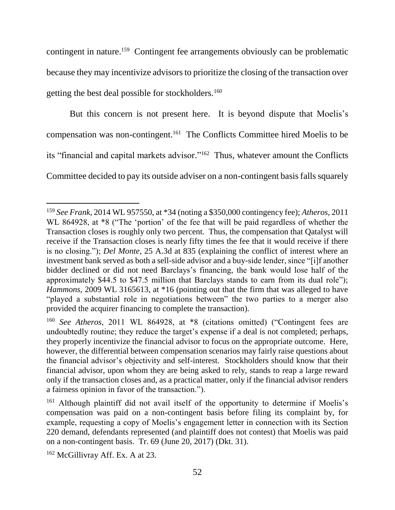contingent in nature.<sup>159</sup> Contingent fee arrangements obviously can be problematic because they may incentivize advisors to prioritize the closing of the transaction over getting the best deal possible for stockholders.<sup>160</sup>

But this concern is not present here. It is beyond dispute that Moelis's compensation was non-contingent.<sup>161</sup> The Conflicts Committee hired Moelis to be its "financial and capital markets advisor." <sup>162</sup> Thus, whatever amount the Conflicts Committee decided to pay its outside adviser on a non-contingent basis falls squarely

<sup>159</sup> *See Frank*, 2014 WL 957550, at \*34 (noting a \$350,000 contingency fee); *Atheros*, 2011 WL 864928, at  $*8$  ("The 'portion' of the fee that will be paid regardless of whether the Transaction closes is roughly only two percent. Thus, the compensation that Qatalyst will receive if the Transaction closes is nearly fifty times the fee that it would receive if there is no closing."); *Del Monte*, 25 A.3d at 835 (explaining the conflict of interest where an investment bank served as both a sell-side advisor and a buy-side lender, since "[i]f another bidder declined or did not need Barclays's financing, the bank would lose half of the approximately \$44.5 to \$47.5 million that Barclays stands to earn from its dual role"); *Hammons*, 2009 WL 3165613, at \*16 (pointing out that the firm that was alleged to have "played a substantial role in negotiations between" the two parties to a merger also provided the acquirer financing to complete the transaction).

<sup>160</sup> *See Atheros*, 2011 WL 864928, at \*8 (citations omitted) ("Contingent fees are undoubtedly routine; they reduce the target's expense if a deal is not completed; perhaps, they properly incentivize the financial advisor to focus on the appropriate outcome. Here, however, the differential between compensation scenarios may fairly raise questions about the financial advisor's objectivity and self-interest. Stockholders should know that their financial advisor, upon whom they are being asked to rely, stands to reap a large reward only if the transaction closes and, as a practical matter, only if the financial advisor renders a fairness opinion in favor of the transaction.").

<sup>&</sup>lt;sup>161</sup> Although plaintiff did not avail itself of the opportunity to determine if Moelis's compensation was paid on a non-contingent basis before filing its complaint by, for example, requesting a copy of Moelis's engagement letter in connection with its Section 220 demand, defendants represented (and plaintiff does not contest) that Moelis was paid on a non-contingent basis. Tr. 69 (June 20, 2017) (Dkt. 31).

<sup>&</sup>lt;sup>162</sup> McGillivray Aff. Ex. A at 23.